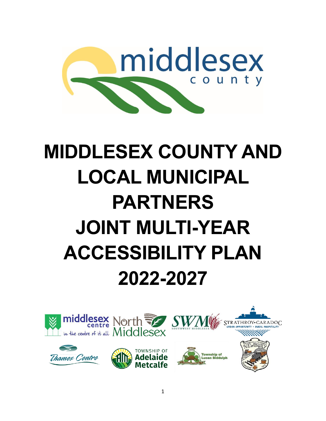

# **MIDDLESEX COUNTY AND LOCAL MUNICIPAL PARTNERS JOINT MULTI-YEAR ACCESSIBILITY PLAN 2022-2027**

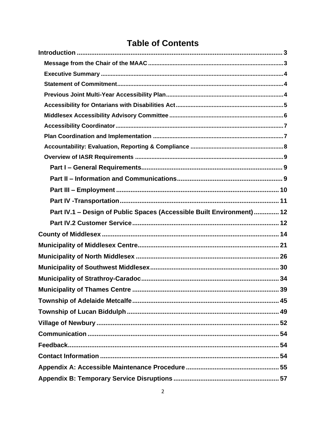# **Table of Contents**

| Part IV.1 - Design of Public Spaces (Accessible Built Environment)  12 |
|------------------------------------------------------------------------|
|                                                                        |
|                                                                        |
|                                                                        |
|                                                                        |
|                                                                        |
|                                                                        |
|                                                                        |
|                                                                        |
|                                                                        |
|                                                                        |
|                                                                        |
|                                                                        |
|                                                                        |
|                                                                        |
|                                                                        |
|                                                                        |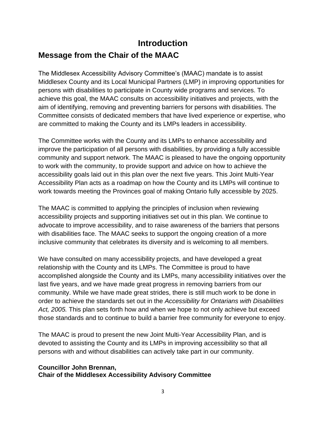# <span id="page-2-1"></span><span id="page-2-0"></span>**Introduction Message from the Chair of the MAAC**

The Middlesex Accessibility Advisory Committee's (MAAC) mandate is to assist Middlesex County and its Local Municipal Partners (LMP) in improving opportunities for persons with disabilities to participate in County wide programs and services. To achieve this goal, the MAAC consults on accessibility initiatives and projects, with the aim of identifying, removing and preventing barriers for persons with disabilities. The Committee consists of dedicated members that have lived experience or expertise, who are committed to making the County and its LMPs leaders in accessibility.

The Committee works with the County and its LMPs to enhance accessibility and improve the participation of all persons with disabilities, by providing a fully accessible community and support network. The MAAC is pleased to have the ongoing opportunity to work with the community, to provide support and advice on how to achieve the accessibility goals laid out in this plan over the next five years. This Joint Multi-Year Accessibility Plan acts as a roadmap on how the County and its LMPs will continue to work towards meeting the Provinces goal of making Ontario fully accessible by 2025.

The MAAC is committed to applying the principles of inclusion when reviewing accessibility projects and supporting initiatives set out in this plan. We continue to advocate to improve accessibility, and to raise awareness of the barriers that persons with disabilities face. The MAAC seeks to support the ongoing creation of a more inclusive community that celebrates its diversity and is welcoming to all members.

We have consulted on many accessibility projects, and have developed a great relationship with the County and its LMPs. The Committee is proud to have accomplished alongside the County and its LMPs, many accessibility initiatives over the last five years, and we have made great progress in removing barriers from our community. While we have made great strides, there is still much work to be done in order to achieve the standards set out in the *Accessibility for Ontarians with Disabilities Act, 2005.* This plan sets forth how and when we hope to not only achieve but exceed those standards and to continue to build a barrier free community for everyone to enjoy.

The MAAC is proud to present the new Joint Multi-Year Accessibility Plan, and is devoted to assisting the County and its LMPs in improving accessibility so that all persons with and without disabilities can actively take part in our community.

#### **Councillor John Brennan, Chair of the Middlesex Accessibility Advisory Committee**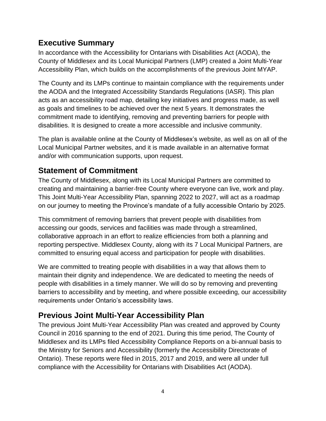### <span id="page-3-0"></span>**Executive Summary**

In accordance with the Accessibility for Ontarians with Disabilities Act (AODA), the County of Middlesex and its Local Municipal Partners (LMP) created a Joint Multi-Year Accessibility Plan, which builds on the accomplishments of the previous Joint MYAP.

The County and its LMPs continue to maintain compliance with the requirements under the AODA and the Integrated Accessibility Standards Regulations (IASR). This plan acts as an accessibility road map, detailing key initiatives and progress made, as well as goals and timelines to be achieved over the next 5 years. It demonstrates the commitment made to identifying, removing and preventing barriers for people with disabilities. It is designed to create a more accessible and inclusive community.

The plan is available online at the County of Middlesex's website, as well as on all of the Local Municipal Partner websites, and it is made available in an alternative format and/or with communication supports, upon request.

### <span id="page-3-1"></span>**Statement of Commitment**

The County of Middlesex, along with its Local Municipal Partners are committed to creating and maintaining a barrier-free County where everyone can live, work and play. This Joint Multi-Year Accessibility Plan, spanning 2022 to 2027, will act as a roadmap on our journey to meeting the Province's mandate of a fully accessible Ontario by 2025.

This commitment of removing barriers that prevent people with disabilities from accessing our goods, services and facilities was made through a streamlined, collaborative approach in an effort to realize efficiencies from both a planning and reporting perspective. Middlesex County, along with its 7 Local Municipal Partners, are committed to ensuring equal access and participation for people with disabilities.

We are committed to treating people with disabilities in a way that allows them to maintain their dignity and independence. We are dedicated to meeting the needs of people with disabilities in a timely manner. We will do so by removing and preventing barriers to accessibility and by meeting, and where possible exceeding, our accessibility requirements under Ontario's accessibility laws.

# <span id="page-3-2"></span>**Previous Joint Multi-Year Accessibility Plan**

The previous Joint Multi-Year Accessibility Plan was created and approved by County Council in 2016 spanning to the end of 2021. During this time period, The County of Middlesex and its LMPs filed Accessibility Compliance Reports on a bi-annual basis to the Ministry for Seniors and Accessibility (formerly the Accessibility Directorate of Ontario). These reports were filed in 2015, 2017 and 2019, and were all under full compliance with the Accessibility for Ontarians with Disabilities Act (AODA).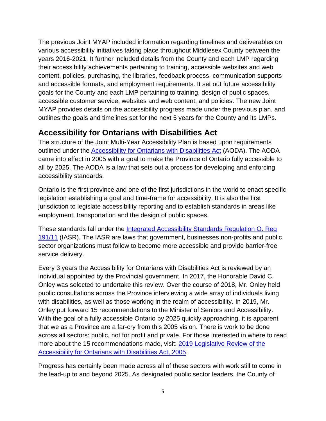The previous Joint MYAP included information regarding timelines and deliverables on various accessibility initiatives taking place throughout Middlesex County between the years 2016-2021. It further included details from the County and each LMP regarding their accessibility achievements pertaining to training, accessible websites and web content, policies, purchasing, the libraries, feedback process, communication supports and accessible formats, and employment requirements. It set out future accessibility goals for the County and each LMP pertaining to training, design of public spaces, accessible customer service, websites and web content, and policies. The new Joint MYAP provides details on the accessibility progress made under the previous plan, and outlines the goals and timelines set for the next 5 years for the County and its LMPs.

#### <span id="page-4-0"></span>**Accessibility for Ontarians with Disabilities Act**

The structure of the Joint Multi-Year Accessibility Plan is based upon requirements outlined under the [Accessibility for Ontarians with Disabilities Act](https://www.ontario.ca/laws/statute/05a11) (AODA). The AODA came into effect in 2005 with a goal to make the Province of Ontario fully accessible to all by 2025. The AODA is a law that sets out a process for developing and enforcing accessibility standards.

Ontario is the first province and one of the first jurisdictions in the world to enact specific legislation establishing a goal and time-frame for accessibility. It is also the first jurisdiction to legislate accessibility reporting and to establish standards in areas like employment, transportation and the design of public spaces.

These standards fall under the [Integrated Accessibility Standards Regulation O. Reg](https://www.ontario.ca/laws/regulation/110191)  [191/11](https://www.ontario.ca/laws/regulation/110191) (IASR). The IASR are laws that government, businesses non-profits and public sector organizations must follow to become more accessible and provide barrier-free service delivery.

Every 3 years the Accessibility for Ontarians with Disabilities Act is reviewed by an individual appointed by the Provincial government. In 2017, the Honorable David C. Onley was selected to undertake this review. Over the course of 2018, Mr. Onley held public consultations across the Province interviewing a wide array of individuals living with disabilities, as well as those working in the realm of accessibility. In 2019, Mr. Onley put forward 15 recommendations to the Minister of Seniors and Accessibility. With the goal of a fully accessible Ontario by 2025 quickly approaching, it is apparent that we as a Province are a far-cry from this 2005 vision. There is work to be done across all sectors: public, not for profit and private. For those interested in where to read more about the 15 recommendations made, visit: [2019 Legislative Review of the](https://www.ontario.ca/page/2019-legislative-review-accessibility-ontarians-disabilities-act-2005#section-7)  [Accessibility for Ontarians with Disabilities Act, 2005.](https://www.ontario.ca/page/2019-legislative-review-accessibility-ontarians-disabilities-act-2005#section-7)

Progress has certainly been made across all of these sectors with work still to come in the lead-up to and beyond 2025. As designated public sector leaders, the County of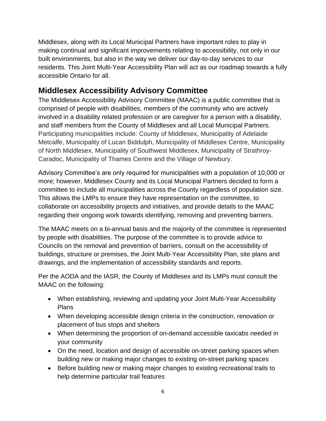Middlesex, along with its Local Municipal Partners have important roles to play in making continual and significant improvements relating to accessibility, not only in our built environments, but also in the way we deliver our day-to-day services to our residents. This Joint Multi-Year Accessibility Plan will act as our roadmap towards a fully accessible Ontario for all.

# <span id="page-5-0"></span>**Middlesex Accessibility Advisory Committee**

The Middlesex Accessibility Advisory Committee (MAAC) is a public committee that is comprised of people with disabilities, members of the community who are actively involved in a disability related profession or are caregiver for a person with a disability, and staff members from the County of Middlesex and all Local Municipal Partners. Participating municipalities include: County of Middlesex, Municipality of Adelaide Metcalfe, Municipality of Lucan Biddulph, Municipality of Middlesex Centre, Municipality of North Middlesex, Municipality of Southwest Middlesex, Municipality of Strathroy-Caradoc, Municipality of Thames Centre and the Village of Newbury.

Advisory Committee's are only required for municipalities with a population of 10,000 or more; however, Middlesex County and its Local Municipal Partners decided to form a committee to include all municipalities across the County regardless of population size. This allows the LMPs to ensure they have representation on the committee, to collaborate on accessibility projects and initiatives, and provide details to the MAAC regarding their ongoing work towards identifying, removing and preventing barriers.

The MAAC meets on a bi-annual basis and the majority of the committee is represented by people with disabilities. The purpose of the committee is to provide advice to Councils on the removal and prevention of barriers, consult on the accessibility of buildings, structure or premises, the Joint Multi-Year Accessibility Plan, site plans and drawings, and the implementation of accessibility standards and reports.

Per the AODA and the IASR, the County of Middlesex and its LMPs must consult the MAAC on the following:

- When establishing, reviewing and updating your Joint Multi-Year Accessibility Plans
- When developing accessible design criteria in the construction, renovation or placement of bus stops and shelters
- When determining the proportion of on-demand accessible taxicabs needed in your community
- On the need, location and design of accessible on-street parking spaces when building new or making major changes to existing on-street parking spaces
- Before building new or making major changes to existing recreational trails to help determine particular trail features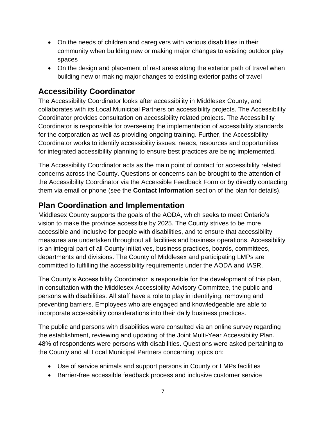- On the needs of children and caregivers with various disabilities in their community when building new or making major changes to existing outdoor play spaces
- On the design and placement of rest areas along the exterior path of travel when building new or making major changes to existing exterior paths of travel

# <span id="page-6-0"></span>**Accessibility Coordinator**

The Accessibility Coordinator looks after accessibility in Middlesex County, and collaborates with its Local Municipal Partners on accessibility projects. The Accessibility Coordinator provides consultation on accessibility related projects. The Accessibility Coordinator is responsible for overseeing the implementation of accessibility standards for the corporation as well as providing ongoing training. Further, the Accessibility Coordinator works to identify accessibility issues, needs, resources and opportunities for integrated accessibility planning to ensure best practices are being implemented.

The Accessibility Coordinator acts as the main point of contact for accessibility related concerns across the County. Questions or concerns can be brought to the attention of the Accessibility Coordinator via the Accessible Feedback Form or by directly contacting them via email or phone (see the **Contact Information** section of the plan for details).

### <span id="page-6-1"></span>**Plan Coordination and Implementation**

Middlesex County supports the goals of the AODA, which seeks to meet Ontario's vision to make the province accessible by 2025. The County strives to be more accessible and inclusive for people with disabilities, and to ensure that accessibility measures are undertaken throughout all facilities and business operations. Accessibility is an integral part of all County initiatives, business practices, boards, committees, departments and divisions. The County of Middlesex and participating LMPs are committed to fulfilling the accessibility requirements under the AODA and IASR.

The County's Accessibility Coordinator is responsible for the development of this plan, in consultation with the Middlesex Accessibility Advisory Committee, the public and persons with disabilities. All staff have a role to play in identifying, removing and preventing barriers. Employees who are engaged and knowledgeable are able to incorporate accessibility considerations into their daily business practices.

The public and persons with disabilities were consulted via an online survey regarding the establishment, reviewing and updating of the Joint Multi-Year Accessibility Plan. 48% of respondents were persons with disabilities. Questions were asked pertaining to the County and all Local Municipal Partners concerning topics on:

- Use of service animals and support persons in County or LMPs facilities
- Barrier-free accessible feedback process and inclusive customer service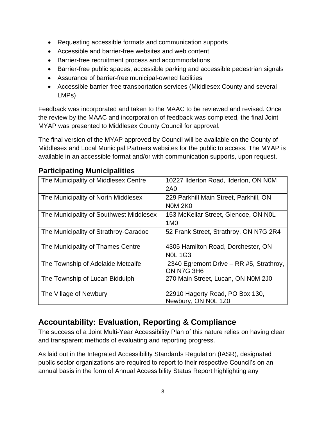- Requesting accessible formats and communication supports
- Accessible and barrier-free websites and web content
- Barrier-free recruitment process and accommodations
- Barrier-free public spaces, accessible parking and accessible pedestrian signals
- Assurance of barrier-free municipal-owned facilities
- Accessible barrier-free transportation services (Middlesex County and several LMPs)

Feedback was incorporated and taken to the MAAC to be reviewed and revised. Once the review by the MAAC and incorporation of feedback was completed, the final Joint MYAP was presented to Middlesex County Council for approval.

The final version of the MYAP approved by Council will be available on the County of Middlesex and Local Municipal Partners websites for the public to access. The MYAP is available in an accessible format and/or with communication supports, upon request.

#### **Participating Municipalities**

| The Municipality of Middlesex Centre    | 10227 Ilderton Road, Ilderton, ON N0M   |
|-----------------------------------------|-----------------------------------------|
|                                         | 2A0                                     |
| The Municipality of North Middlesex     | 229 Parkhill Main Street, Parkhill, ON  |
|                                         | <b>NOM 2K0</b>                          |
| The Municipality of Southwest Middlesex | 153 McKellar Street, Glencoe, ON NOL    |
|                                         | 1M <sub>0</sub>                         |
| The Municipality of Strathroy-Caradoc   | 52 Frank Street, Strathroy, ON N7G 2R4  |
|                                         |                                         |
| The Municipality of Thames Centre       | 4305 Hamilton Road, Dorchester, ON      |
|                                         | <b>NOL 1G3</b>                          |
| The Township of Adelaide Metcalfe       | 2340 Egremont Drive - RR #5, Strathroy, |
|                                         | ON N7G 3H6                              |
| The Township of Lucan Biddulph          | 270 Main Street, Lucan, ON N0M 2J0      |
|                                         |                                         |
| The Village of Newbury                  | 22910 Hagerty Road, PO Box 130,         |
|                                         | Newbury, ON N0L 1Z0                     |

# <span id="page-7-0"></span>**Accountability: Evaluation, Reporting & Compliance**

The success of a Joint Multi-Year Accessibility Plan of this nature relies on having clear and transparent methods of evaluating and reporting progress.

As laid out in the Integrated Accessibility Standards Regulation (IASR), designated public sector organizations are required to report to their respective Council's on an annual basis in the form of Annual Accessibility Status Report highlighting any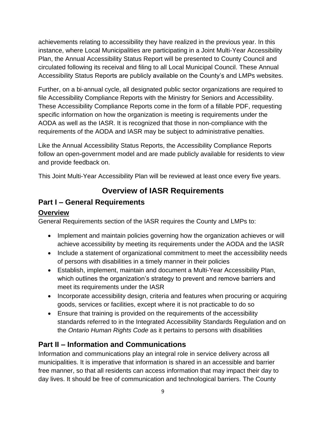achievements relating to accessibility they have realized in the previous year. In this instance, where Local Municipalities are participating in a Joint Multi-Year Accessibility Plan, the Annual Accessibility Status Report will be presented to County Council and circulated following its receival and filing to all Local Municipal Council. These Annual Accessibility Status Reports are publicly available on the County's and LMPs websites.

Further, on a bi-annual cycle, all designated public sector organizations are required to file Accessibility Compliance Reports with the Ministry for Seniors and Accessibility. These Accessibility Compliance Reports come in the form of a fillable PDF, requesting specific information on how the organization is meeting is requirements under the AODA as well as the IASR. It is recognized that those in non-compliance with the requirements of the AODA and IASR may be subject to administrative penalties.

Like the Annual Accessibility Status Reports, the Accessibility Compliance Reports follow an open-government model and are made publicly available for residents to view and provide feedback on.

This Joint Multi-Year Accessibility Plan will be reviewed at least once every five years.

# **Overview of IASR Requirements**

#### <span id="page-8-1"></span><span id="page-8-0"></span>**Part I – General Requirements**

#### **Overview**

General Requirements section of the IASR requires the County and LMPs to:

- Implement and maintain policies governing how the organization achieves or will achieve accessibility by meeting its requirements under the AODA and the IASR
- Include a statement of organizational commitment to meet the accessibility needs of persons with disabilities in a timely manner in their policies
- Establish, implement, maintain and document a Multi-Year Accessibility Plan, which outlines the organization's strategy to prevent and remove barriers and meet its requirements under the IASR
- Incorporate accessibility design, criteria and features when procuring or acquiring goods, services or facilities, except where it is not practicable to do so
- Ensure that training is provided on the requirements of the accessibility standards referred to in the Integrated Accessibility Standards Regulation and on the *Ontario Human Rights Code* as it pertains to persons with disabilities

#### <span id="page-8-2"></span>**Part II – Information and Communications**

Information and communications play an integral role in service delivery across all municipalities. It is imperative that information is shared in an accessible and barrier free manner, so that all residents can access information that may impact their day to day lives. It should be free of communication and technological barriers. The County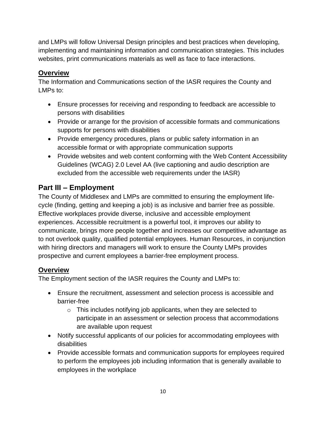and LMPs will follow Universal Design principles and best practices when developing, implementing and maintaining information and communication strategies. This includes websites, print communications materials as well as face to face interactions.

#### **Overview**

The Information and Communications section of the IASR requires the County and LMPs to:

- Ensure processes for receiving and responding to feedback are accessible to persons with disabilities
- Provide or arrange for the provision of accessible formats and communications supports for persons with disabilities
- Provide emergency procedures, plans or public safety information in an accessible format or with appropriate communication supports
- Provide websites and web content conforming with the Web Content Accessibility Guidelines (WCAG) 2.0 Level AA (live captioning and audio description are excluded from the accessible web requirements under the IASR)

#### <span id="page-9-0"></span>**Part III – Employment**

The County of Middlesex and LMPs are committed to ensuring the employment lifecycle (finding, getting and keeping a job) is as inclusive and barrier free as possible. Effective workplaces provide diverse, inclusive and accessible employment experiences. Accessible recruitment is a powerful tool, it improves our ability to communicate, brings more people together and increases our competitive advantage as to not overlook quality, qualified potential employees. Human Resources, in conjunction with hiring directors and managers will work to ensure the County LMPs provides prospective and current employees a barrier-free employment process.

#### **Overview**

The Employment section of the IASR requires the County and LMPs to:

- Ensure the recruitment, assessment and selection process is accessible and barrier-free
	- $\circ$  This includes notifying job applicants, when they are selected to participate in an assessment or selection process that accommodations are available upon request
- Notify successful applicants of our policies for accommodating employees with disabilities
- Provide accessible formats and communication supports for employees required to perform the employees job including information that is generally available to employees in the workplace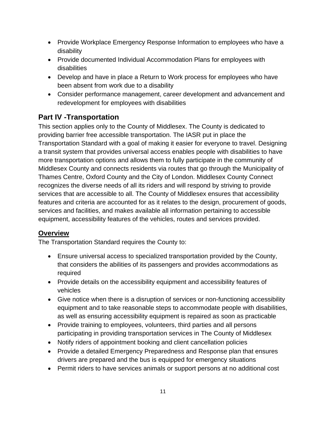- Provide Workplace Emergency Response Information to employees who have a disability
- Provide documented Individual Accommodation Plans for employees with disabilities
- Develop and have in place a Return to Work process for employees who have been absent from work due to a disability
- Consider performance management, career development and advancement and redevelopment for employees with disabilities

#### <span id="page-10-0"></span>**Part IV -Transportation**

This section applies only to the County of Middlesex. The County is dedicated to providing barrier free accessible transportation. The IASR put in place the Transportation Standard with a goal of making it easier for everyone to travel. Designing a transit system that provides universal access enables people with disabilities to have more transportation options and allows them to fully participate in the community of Middlesex County and connects residents via routes that go through the Municipality of Thames Centre, Oxford County and the City of London. Middlesex County Connect recognizes the diverse needs of all its riders and will respond by striving to provide services that are accessible to all. The County of Middlesex ensures that accessibility features and criteria are accounted for as it relates to the design, procurement of goods, services and facilities, and makes available all information pertaining to accessible equipment, accessibility features of the vehicles, routes and services provided.

#### **Overview**

The Transportation Standard requires the County to:

- Ensure universal access to specialized transportation provided by the County, that considers the abilities of its passengers and provides accommodations as required
- Provide details on the accessibility equipment and accessibility features of vehicles
- Give notice when there is a disruption of services or non-functioning accessibility equipment and to take reasonable steps to accommodate people with disabilities, as well as ensuring accessibility equipment is repaired as soon as practicable
- Provide training to employees, volunteers, third parties and all persons participating in providing transportation services in The County of Middlesex
- Notify riders of appointment booking and client cancellation policies
- Provide a detailed Emergency Preparedness and Response plan that ensures drivers are prepared and the bus is equipped for emergency situations
- Permit riders to have services animals or support persons at no additional cost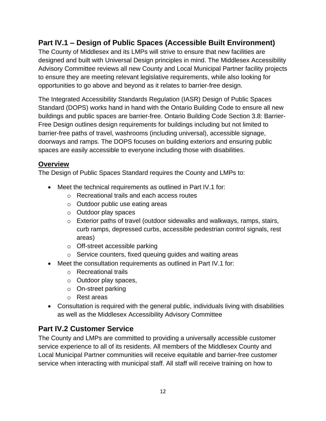#### <span id="page-11-0"></span>**Part IV.1 – Design of Public Spaces (Accessible Built Environment)**

The County of Middlesex and its LMPs will strive to ensure that new facilities are designed and built with Universal Design principles in mind. The Middlesex Accessibility Advisory Committee reviews all new County and Local Municipal Partner facility projects to ensure they are meeting relevant legislative requirements, while also looking for opportunities to go above and beyond as it relates to barrier-free design.

The Integrated Accessibility Standards Regulation (IASR) Design of Public Spaces Standard (DOPS) works hand in hand with the Ontario Building Code to ensure all new buildings and public spaces are barrier-free. Ontario Building Code Section 3.8: Barrier-Free Design outlines design requirements for buildings including but not limited to barrier-free paths of travel, washrooms (including universal), accessible signage, doorways and ramps. The DOPS focuses on building exteriors and ensuring public spaces are easily accessible to everyone including those with disabilities.

#### **Overview**

The Design of Public Spaces Standard requires the County and LMPs to:

- Meet the technical requirements as outlined in Part IV.1 for:
	- o Recreational trails and each access routes
	- o Outdoor public use eating areas
	- o Outdoor play spaces
	- o Exterior paths of travel (outdoor sidewalks and walkways, ramps, stairs, curb ramps, depressed curbs, accessible pedestrian control signals, rest areas)
	- o Off-street accessible parking
	- o Service counters, fixed queuing guides and waiting areas
- Meet the consultation requirements as outlined in Part IV.1 for:
	- o Recreational trails
	- o Outdoor play spaces,
	- o On-street parking
	- o Rest areas
- Consultation is required with the general public, individuals living with disabilities as well as the Middlesex Accessibility Advisory Committee

#### <span id="page-11-1"></span>**Part IV.2 Customer Service**

The County and LMPs are committed to providing a universally accessible customer service experience to all of its residents. All members of the Middlesex County and Local Municipal Partner communities will receive equitable and barrier-free customer service when interacting with municipal staff. All staff will receive training on how to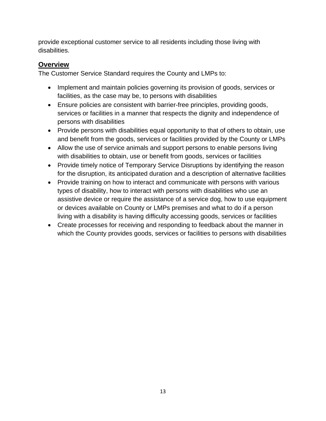provide exceptional customer service to all residents including those living with disabilities.

#### **Overview**

The Customer Service Standard requires the County and LMPs to:

- Implement and maintain policies governing its provision of goods, services or facilities, as the case may be, to persons with disabilities
- Ensure policies are consistent with barrier-free principles, providing goods, services or facilities in a manner that respects the dignity and independence of persons with disabilities
- Provide persons with disabilities equal opportunity to that of others to obtain, use and benefit from the goods, services or facilities provided by the County or LMPs
- Allow the use of service animals and support persons to enable persons living with disabilities to obtain, use or benefit from goods, services or facilities
- Provide timely notice of Temporary Service Disruptions by identifying the reason for the disruption, its anticipated duration and a description of alternative facilities
- Provide training on how to interact and communicate with persons with various types of disability, how to interact with persons with disabilities who use an assistive device or require the assistance of a service dog, how to use equipment or devices available on County or LMPs premises and what to do if a person living with a disability is having difficulty accessing goods, services or facilities
- Create processes for receiving and responding to feedback about the manner in which the County provides goods, services or facilities to persons with disabilities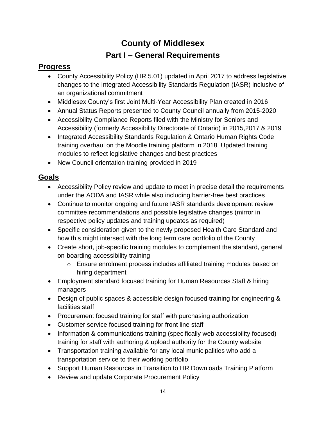# **County of Middlesex Part I – General Requirements**

#### <span id="page-13-0"></span>**Progress**

- County Accessibility Policy (HR 5.01) updated in April 2017 to address legislative changes to the Integrated Accessibility Standards Regulation (IASR) inclusive of an organizational commitment
- Middlesex County's first Joint Multi-Year Accessibility Plan created in 2016
- Annual Status Reports presented to County Council annually from 2015-2020
- Accessibility Compliance Reports filed with the Ministry for Seniors and Accessibility (formerly Accessibility Directorate of Ontario) in 2015,2017 & 2019
- Integrated Accessibility Standards Regulation & Ontario Human Rights Code training overhaul on the Moodle training platform in 2018. Updated training modules to reflect legislative changes and best practices
- New Council orientation training provided in 2019

### **Goals**

- Accessibility Policy review and update to meet in precise detail the requirements under the AODA and IASR while also including barrier-free best practices
- Continue to monitor ongoing and future IASR standards development review committee recommendations and possible legislative changes (mirror in respective policy updates and training updates as required)
- Specific consideration given to the newly proposed Health Care Standard and how this might intersect with the long term care portfolio of the County
- Create short, job-specific training modules to complement the standard, general on-boarding accessibility training
	- o Ensure enrolment process includes affiliated training modules based on hiring department
- Employment standard focused training for Human Resources Staff & hiring managers
- Design of public spaces & accessible design focused training for engineering & facilities staff
- Procurement focused training for staff with purchasing authorization
- Customer service focused training for front line staff
- Information & communications training (specifically web accessibility focused) training for staff with authoring & upload authority for the County website
- Transportation training available for any local municipalities who add a transportation service to their working portfolio
- Support Human Resources in Transition to HR Downloads Training Platform
- Review and update Corporate Procurement Policy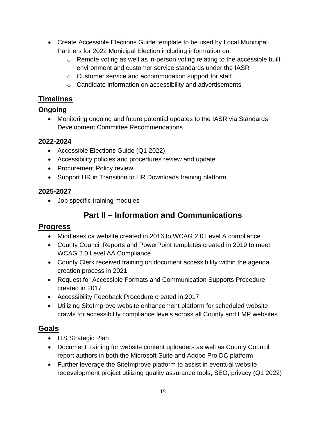- Create Accessible Elections Guide template to be used by Local Municipal Partners for 2022 Municipal Election including information on:
	- o Remote voting as well as in-person voting relating to the accessible built environment and customer service standards under the IASR
	- o Customer service and accommodation support for staff
	- o Candidate information on accessibility and advertisements

# **Timelines**

#### **Ongoing**

 Monitoring ongoing and future potential updates to the IASR via Standards Development Committee Recommendations

#### **2022-2024**

- Accessible Elections Guide (Q1 2022)
- Accessibility policies and procedures review and update
- Procurement Policy review
- Support HR in Transition to HR Downloads training platform

#### **2025-2027**

• Job specific training modules

# **Part II – Information and Communications**

#### **Progress**

- Middlesex.ca website created in 2016 to WCAG 2.0 Level A compliance
- County Council Reports and PowerPoint templates created in 2019 to meet WCAG 2.0 Level AA Compliance
- County Clerk received training on document accessibility within the agenda creation process in 2021
- Request for Accessible Formats and Communication Supports Procedure created in 2017
- Accessibility Feedback Procedure created in 2017
- Utilizing SiteImprove website enhancement platform for scheduled website crawls for accessibility compliance levels across all County and LMP websites

#### **Goals**

- ITS Strategic Plan
- Document training for website content uploaders as well as County Council report authors in both the Microsoft Suite and Adobe Pro DC platform
- Further leverage the SiteImprove platform to assist in eventual website redevelopment project utilizing quality assurance tools, SEO, privacy (Q1 2022)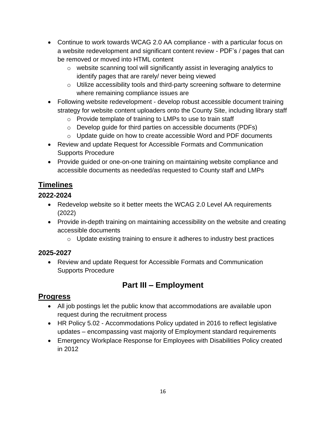- Continue to work towards WCAG 2.0 AA compliance with a particular focus on a website redevelopment and significant content review - PDF's / pages that can be removed or moved into HTML content
	- o website scanning tool will significantly assist in leveraging analytics to identify pages that are rarely/ never being viewed
	- o Utilize accessibility tools and third-party screening software to determine where remaining compliance issues are
- Following website redevelopment develop robust accessible document training strategy for website content uploaders onto the County Site, including library staff
	- o Provide template of training to LMPs to use to train staff
	- o Develop guide for third parties on accessible documents (PDFs)
	- o Update guide on how to create accessible Word and PDF documents
- Review and update Request for Accessible Formats and Communication Supports Procedure
- Provide guided or one-on-one training on maintaining website compliance and accessible documents as needed/as requested to County staff and LMPs

#### **Timelines**

#### **2022-2024**

- Redevelop website so it better meets the WCAG 2.0 Level AA requirements (2022)
- Provide in-depth training on maintaining accessibility on the website and creating accessible documents
	- o Update existing training to ensure it adheres to industry best practices

#### **2025-2027**

 Review and update Request for Accessible Formats and Communication Supports Procedure

# **Part III – Employment**

#### **Progress**

- All job postings let the public know that accommodations are available upon request during the recruitment process
- HR Policy 5.02 Accommodations Policy updated in 2016 to reflect legislative updates – encompassing vast majority of Employment standard requirements
- Emergency Workplace Response for Employees with Disabilities Policy created in 2012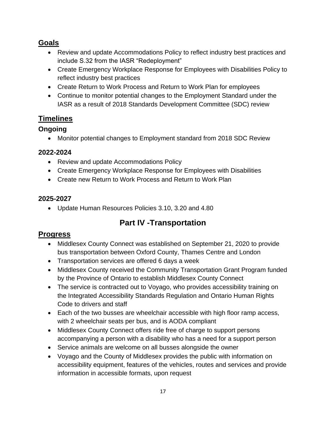#### **Goals**

- Review and update Accommodations Policy to reflect industry best practices and include S.32 from the IASR "Redeployment"
- Create Emergency Workplace Response for Employees with Disabilities Policy to reflect industry best practices
- Create Return to Work Process and Return to Work Plan for employees
- Continue to monitor potential changes to the Employment Standard under the IASR as a result of 2018 Standards Development Committee (SDC) review

#### **Timelines**

#### **Ongoing**

Monitor potential changes to Employment standard from 2018 SDC Review

#### **2022-2024**

- Review and update Accommodations Policy
- Create Emergency Workplace Response for Employees with Disabilities
- Create new Return to Work Process and Return to Work Plan

#### **2025-2027**

Update Human Resources Policies 3.10, 3.20 and 4.80

# **Part IV -Transportation**

#### **Progress**

- Middlesex County Connect was established on September 21, 2020 to provide bus transportation between Oxford County, Thames Centre and London
- Transportation services are offered 6 days a week
- Middlesex County received the Community Transportation Grant Program funded by the Province of Ontario to establish Middlesex County Connect
- The service is contracted out to Voyago, who provides accessibility training on the Integrated Accessibility Standards Regulation and Ontario Human Rights Code to drivers and staff
- Each of the two busses are wheelchair accessible with high floor ramp access, with 2 wheelchair seats per bus, and is AODA compliant
- Middlesex County Connect offers ride free of charge to support persons accompanying a person with a disability who has a need for a support person
- Service animals are welcome on all busses alongside the owner
- Voyago and the County of Middlesex provides the public with information on accessibility equipment, features of the vehicles, routes and services and provide information in accessible formats, upon request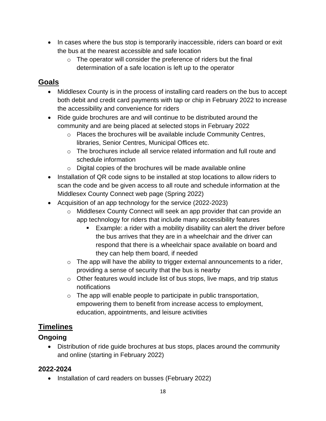- In cases where the bus stop is temporarily inaccessible, riders can board or exit the bus at the nearest accessible and safe location
	- $\circ$  The operator will consider the preference of riders but the final determination of a safe location is left up to the operator

#### **Goals**

- Middlesex County is in the process of installing card readers on the bus to accept both debit and credit card payments with tap or chip in February 2022 to increase the accessibility and convenience for riders
- Ride guide brochures are and will continue to be distributed around the community and are being placed at selected stops in February 2022
	- o Places the brochures will be available include Community Centres, libraries, Senior Centres, Municipal Offices etc.
	- $\circ$  The brochures include all service related information and full route and schedule information
	- $\circ$  Digital copies of the brochures will be made available online
- Installation of QR code signs to be installed at stop locations to allow riders to scan the code and be given access to all route and schedule information at the Middlesex County Connect web page (Spring 2022)
- Acquisition of an app technology for the service (2022-2023)
	- o Middlesex County Connect will seek an app provider that can provide an app technology for riders that include many accessibility features
		- Example: a rider with a mobility disability can alert the driver before the bus arrives that they are in a wheelchair and the driver can respond that there is a wheelchair space available on board and they can help them board, if needed
	- $\circ$  The app will have the ability to trigger external announcements to a rider, providing a sense of security that the bus is nearby
	- o Other features would include list of bus stops, live maps, and trip status notifications
	- $\circ$  The app will enable people to participate in public transportation, empowering them to benefit from increase access to employment, education, appointments, and leisure activities

# **Timelines**

#### **Ongoing**

 Distribution of ride guide brochures at bus stops, places around the community and online (starting in February 2022)

#### **2022-2024**

• Installation of card readers on busses (February 2022)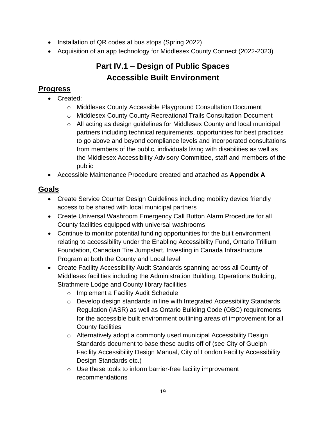- Installation of QR codes at bus stops (Spring 2022)
- Acquisition of an app technology for Middlesex County Connect (2022-2023)

# **Part IV.1 – Design of Public Spaces Accessible Built Environment**

#### **Progress**

- Created:
	- o Middlesex County Accessible Playground Consultation Document
	- o Middlesex County County Recreational Trails Consultation Document
	- $\circ$  All acting as design guidelines for Middlesex County and local municipal partners including technical requirements, opportunities for best practices to go above and beyond compliance levels and incorporated consultations from members of the public, individuals living with disabilities as well as the Middlesex Accessibility Advisory Committee, staff and members of the public
- Accessible Maintenance Procedure created and attached as **Appendix A**

### **Goals**

- Create Service Counter Design Guidelines including mobility device friendly access to be shared with local municipal partners
- Create Universal Washroom Emergency Call Button Alarm Procedure for all County facilities equipped with universal washrooms
- Continue to monitor potential funding opportunities for the built environment relating to accessibility under the Enabling Accessibility Fund, Ontario Trillium Foundation, Canadian Tire Jumpstart, Investing in Canada Infrastructure Program at both the County and Local level
- Create Facility Accessibility Audit Standards spanning across all County of Middlesex facilities including the Administration Building, Operations Building, Strathmere Lodge and County library facilities
	- o Implement a Facility Audit Schedule
	- o Develop design standards in line with Integrated Accessibility Standards Regulation (IASR) as well as Ontario Building Code (OBC) requirements for the accessible built environment outlining areas of improvement for all County facilities
	- $\circ$  Alternatively adopt a commonly used municipal Accessibility Design Standards document to base these audits off of (see City of Guelph Facility Accessibility Design Manual, City of London Facility Accessibility Design Standards etc.)
	- o Use these tools to inform barrier-free facility improvement recommendations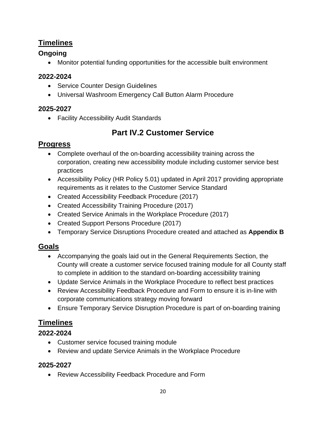#### **Timelines**

#### **Ongoing**

Monitor potential funding opportunities for the accessible built environment

#### **2022-2024**

- Service Counter Design Guidelines
- Universal Washroom Emergency Call Button Alarm Procedure

#### **2025-2027**

Facility Accessibility Audit Standards

# **Part IV.2 Customer Service**

#### **Progress**

- Complete overhaul of the on-boarding accessibility training across the corporation, creating new accessibility module including customer service best practices
- Accessibility Policy (HR Policy 5.01) updated in April 2017 providing appropriate requirements as it relates to the Customer Service Standard
- Created Accessibility Feedback Procedure (2017)
- Created Accessibility Training Procedure (2017)
- Created Service Animals in the Workplace Procedure (2017)
- Created Support Persons Procedure (2017)
- Temporary Service Disruptions Procedure created and attached as **Appendix B**

#### **Goals**

- Accompanying the goals laid out in the General Requirements Section, the County will create a customer service focused training module for all County staff to complete in addition to the standard on-boarding accessibility training
- Update Service Animals in the Workplace Procedure to reflect best practices
- Review Accessibility Feedback Procedure and Form to ensure it is in-line with corporate communications strategy moving forward
- Ensure Temporary Service Disruption Procedure is part of on-boarding training

#### **Timelines**

#### **2022-2024**

- Customer service focused training module
- Review and update Service Animals in the Workplace Procedure

#### **2025-2027**

Review Accessibility Feedback Procedure and Form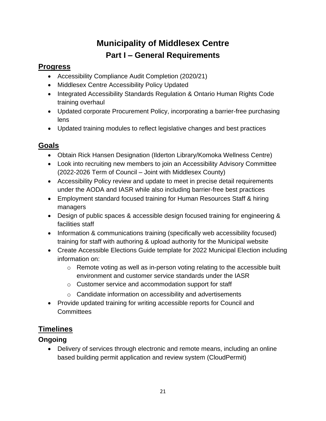# **Municipality of Middlesex Centre Part I – General Requirements**

#### <span id="page-20-0"></span>**Progress**

- Accessibility Compliance Audit Completion (2020/21)
- Middlesex Centre Accessibility Policy Updated
- Integrated Accessibility Standards Regulation & Ontario Human Rights Code training overhaul
- Updated corporate Procurement Policy, incorporating a barrier-free purchasing lens
- Updated training modules to reflect legislative changes and best practices

### **Goals**

- Obtain Rick Hansen Designation (Ilderton Library/Komoka Wellness Centre)
- Look into recruiting new members to join an Accessibility Advisory Committee (2022-2026 Term of Council – Joint with Middlesex County)
- Accessibility Policy review and update to meet in precise detail requirements under the AODA and IASR while also including barrier-free best practices
- Employment standard focused training for Human Resources Staff & hiring managers
- Design of public spaces & accessible design focused training for engineering & facilities staff
- Information & communications training (specifically web accessibility focused) training for staff with authoring & upload authority for the Municipal website
- Create Accessible Elections Guide template for 2022 Municipal Election including information on:
	- o Remote voting as well as in-person voting relating to the accessible built environment and customer service standards under the IASR
	- o Customer service and accommodation support for staff
	- o Candidate information on accessibility and advertisements
- Provide updated training for writing accessible reports for Council and **Committees**

# **Timelines**

#### **Ongoing**

 Delivery of services through electronic and remote means, including an online based building permit application and review system (CloudPermit)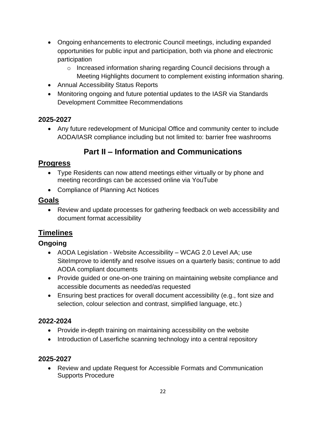- Ongoing enhancements to electronic Council meetings, including expanded opportunities for public input and participation, both via phone and electronic participation
	- $\circ$  Increased information sharing regarding Council decisions through a Meeting Highlights document to complement existing information sharing.
- Annual Accessibility Status Reports
- Monitoring ongoing and future potential updates to the IASR via Standards Development Committee Recommendations

#### **2025-2027**

 Any future redevelopment of Municipal Office and community center to include AODA/IASR compliance including but not limited to: barrier free washrooms

# **Part II – Information and Communications**

#### **Progress**

- Type Residents can now attend meetings either virtually or by phone and meeting recordings can be accessed online via YouTube
- Compliance of Planning Act Notices

#### **Goals**

 Review and update processes for gathering feedback on web accessibility and document format accessibility

#### **Timelines**

#### **Ongoing**

- AODA Legislation Website Accessibility WCAG 2.0 Level AA; use SiteImprove to identify and resolve issues on a quarterly basis; continue to add AODA compliant documents
- Provide guided or one-on-one training on maintaining website compliance and accessible documents as needed/as requested
- Ensuring best practices for overall document accessibility (e.g., font size and selection, colour selection and contrast, simplified language, etc.)

#### **2022-2024**

- Provide in-depth training on maintaining accessibility on the website
- Introduction of Laserfiche scanning technology into a central repository

#### **2025-2027**

 Review and update Request for Accessible Formats and Communication Supports Procedure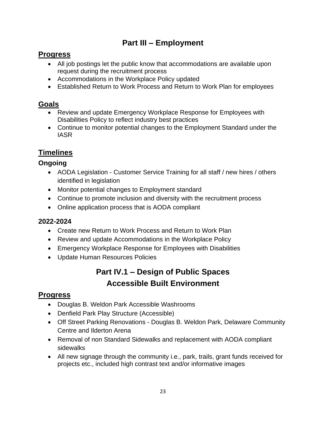# **Part III – Employment**

#### **Progress**

- All job postings let the public know that accommodations are available upon request during the recruitment process
- Accommodations in the Workplace Policy updated
- Established Return to Work Process and Return to Work Plan for employees

#### **Goals**

- Review and update Emergency Workplace Response for Employees with Disabilities Policy to reflect industry best practices
- Continue to monitor potential changes to the Employment Standard under the IASR

# **Timelines**

#### **Ongoing**

- AODA Legislation Customer Service Training for all staff / new hires / others identified in legislation
- Monitor potential changes to Employment standard
- Continue to promote inclusion and diversity with the recruitment process
- Online application process that is AODA compliant

#### **2022-2024**

- Create new Return to Work Process and Return to Work Plan
- Review and update Accommodations in the Workplace Policy
- Emergency Workplace Response for Employees with Disabilities
- Update Human Resources Policies

# **Part IV.1 – Design of Public Spaces Accessible Built Environment**

#### **Progress**

- Douglas B. Weldon Park Accessible Washrooms
- Denfield Park Play Structure (Accessible)
- Off Street Parking Renovations Douglas B. Weldon Park, Delaware Community Centre and Ilderton Arena
- Removal of non Standard Sidewalks and replacement with AODA compliant sidewalks
- All new signage through the community i.e., park, trails, grant funds received for projects etc., included high contrast text and/or informative images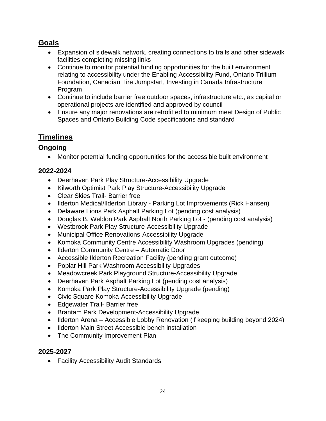#### **Goals**

- Expansion of sidewalk network, creating connections to trails and other sidewalk facilities completing missing links
- Continue to monitor potential funding opportunities for the built environment relating to accessibility under the Enabling Accessibility Fund, Ontario Trillium Foundation, Canadian Tire Jumpstart, Investing in Canada Infrastructure Program
- Continue to include barrier free outdoor spaces, infrastructure etc., as capital or operational projects are identified and approved by council
- Ensure any major renovations are retrofitted to minimum meet Design of Public Spaces and Ontario Building Code specifications and standard

#### **Timelines**

#### **Ongoing**

Monitor potential funding opportunities for the accessible built environment

#### **2022-2024**

- Deerhaven Park Play Structure-Accessibility Upgrade
- Kilworth Optimist Park Play Structure-Accessibility Upgrade
- Clear Skies Trail- Barrier free
- Ilderton Medical/Ilderton Library Parking Lot Improvements (Rick Hansen)
- Delaware Lions Park Asphalt Parking Lot (pending cost analysis)
- Douglas B. Weldon Park Asphalt North Parking Lot (pending cost analysis)
- Westbrook Park Play Structure-Accessibility Upgrade
- Municipal Office Renovations-Accessibility Upgrade
- Komoka Community Centre Accessibility Washroom Upgrades (pending)
- Ilderton Community Centre Automatic Door
- Accessible Ilderton Recreation Facility (pending grant outcome)
- Poplar Hill Park Washroom Accessibility Upgrades
- Meadowcreek Park Playground Structure-Accessibility Upgrade
- Deerhaven Park Asphalt Parking Lot (pending cost analysis)
- Komoka Park Play Structure-Accessibility Upgrade (pending)
- Civic Square Komoka-Accessibility Upgrade
- Edgewater Trail- Barrier free
- Brantam Park Development-Accessibility Upgrade
- Ilderton Arena Accessible Lobby Renovation (if keeping building beyond 2024)
- Ilderton Main Street Accessible bench installation
- The Community Improvement Plan

#### **2025-2027**

Facility Accessibility Audit Standards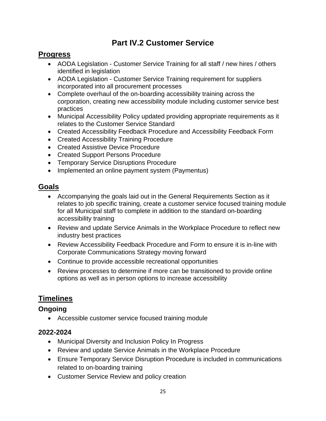### **Part IV.2 Customer Service**

#### **Progress**

- AODA Legislation Customer Service Training for all staff / new hires / others identified in legislation
- AODA Legislation Customer Service Training requirement for suppliers incorporated into all procurement processes
- Complete overhaul of the on-boarding accessibility training across the corporation, creating new accessibility module including customer service best practices
- Municipal Accessibility Policy updated providing appropriate requirements as it relates to the Customer Service Standard
- Created Accessibility Feedback Procedure and Accessibility Feedback Form
- Created Accessibility Training Procedure
- Created Assistive Device Procedure
- Created Support Persons Procedure
- Temporary Service Disruptions Procedure
- Implemented an online payment system (Paymentus)

#### **Goals**

- Accompanying the goals laid out in the General Requirements Section as it relates to job specific training, create a customer service focused training module for all Municipal staff to complete in addition to the standard on-boarding accessibility training
- Review and update Service Animals in the Workplace Procedure to reflect new industry best practices
- Review Accessibility Feedback Procedure and Form to ensure it is in-line with Corporate Communications Strategy moving forward
- Continue to provide accessible recreational opportunities
- Review processes to determine if more can be transitioned to provide online options as well as in person options to increase accessibility

#### **Timelines**

#### **Ongoing**

Accessible customer service focused training module

#### **2022-2024**

- Municipal Diversity and Inclusion Policy In Progress
- Review and update Service Animals in the Workplace Procedure
- Ensure Temporary Service Disruption Procedure is included in communications related to on-boarding training
- Customer Service Review and policy creation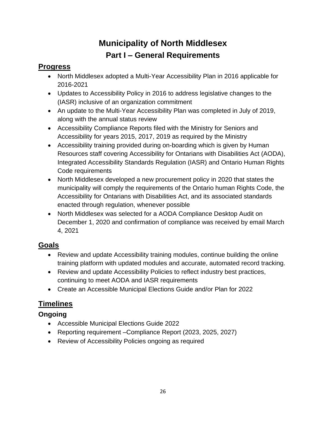# **Municipality of North Middlesex Part I – General Requirements**

#### <span id="page-25-0"></span>**Progress**

- North Middlesex adopted a Multi-Year Accessibility Plan in 2016 applicable for 2016-2021
- Updates to Accessibility Policy in 2016 to address legislative changes to the (IASR) inclusive of an organization commitment
- An update to the Multi-Year Accessibility Plan was completed in July of 2019, along with the annual status review
- Accessibility Compliance Reports filed with the Ministry for Seniors and Accessibility for years 2015, 2017, 2019 as required by the Ministry
- Accessibility training provided during on-boarding which is given by Human Resources staff covering Accessibility for Ontarians with Disabilities Act (AODA), Integrated Accessibility Standards Regulation (IASR) and Ontario Human Rights Code requirements
- North Middlesex developed a new procurement policy in 2020 that states the municipality will comply the requirements of the Ontario human Rights Code, the Accessibility for Ontarians with Disabilities Act, and its associated standards enacted through regulation, whenever possible
- North Middlesex was selected for a AODA Compliance Desktop Audit on December 1, 2020 and confirmation of compliance was received by email March 4, 2021

# **Goals**

- Review and update Accessibility training modules, continue building the online training platform with updated modules and accurate, automated record tracking.
- Review and update Accessibility Policies to reflect industry best practices, continuing to meet AODA and IASR requirements
- Create an Accessible Municipal Elections Guide and/or Plan for 2022

# **Timelines**

#### **Ongoing**

- Accessible Municipal Elections Guide 2022
- Reporting requirement –Compliance Report (2023, 2025, 2027)
- Review of Accessibility Policies ongoing as required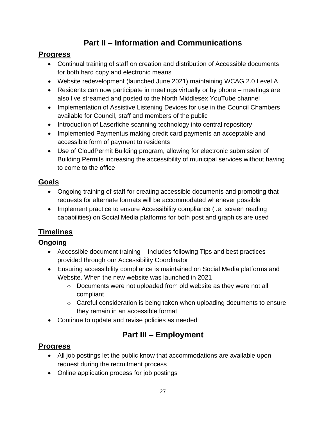# **Part II – Information and Communications**

#### **Progress**

- Continual training of staff on creation and distribution of Accessible documents for both hard copy and electronic means
- Website redevelopment (launched June 2021) maintaining WCAG 2.0 Level A
- Residents can now participate in meetings virtually or by phone meetings are also live streamed and posted to the North Middlesex YouTube channel
- Implementation of Assistive Listening Devices for use in the Council Chambers available for Council, staff and members of the public
- Introduction of Laserfiche scanning technology into central repository
- Implemented Paymentus making credit card payments an acceptable and accessible form of payment to residents
- Use of CloudPermit Building program, allowing for electronic submission of Building Permits increasing the accessibility of municipal services without having to come to the office

### **Goals**

- Ongoing training of staff for creating accessible documents and promoting that requests for alternate formats will be accommodated whenever possible
- Implement practice to ensure Accessibility compliance (i.e. screen reading capabilities) on Social Media platforms for both post and graphics are used

# **Timelines**

#### **Ongoing**

- Accessible document training Includes following Tips and best practices provided through our Accessibility Coordinator
- Ensuring accessibility compliance is maintained on Social Media platforms and Website. When the new website was launched in 2021
	- $\circ$  Documents were not uploaded from old website as they were not all compliant
	- $\circ$  Careful consideration is being taken when uploading documents to ensure they remain in an accessible format
- Continue to update and revise policies as needed

# **Part III – Employment**

#### **Progress**

- All job postings let the public know that accommodations are available upon request during the recruitment process
- Online application process for job postings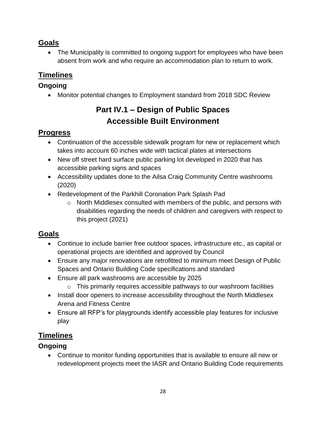#### **Goals**

 The Municipality is committed to ongoing support for employees who have been absent from work and who require an accommodation plan to return to work.

#### **Timelines**

#### **Ongoing**

Monitor potential changes to Employment standard from 2018 SDC Review

# **Part IV.1 – Design of Public Spaces Accessible Built Environment**

#### **Progress**

- Continuation of the accessible sidewalk program for new or replacement which takes into account 60 inches wide with tactical plates at intersections
- New off street hard surface public parking lot developed in 2020 that has accessible parking signs and spaces
- Accessibility updates done to the Ailsa Craig Community Centre washrooms (2020)
- Redevelopment of the Parkhill Coronation Park Splash Pad
	- o North Middlesex consulted with members of the public, and persons with disabilities regarding the needs of children and caregivers with respect to this project (2021)

#### **Goals**

- Continue to include barrier free outdoor spaces, infrastructure etc., as capital or operational projects are identified and approved by Council
- Ensure any major renovations are retrofitted to minimum meet Design of Public Spaces and Ontario Building Code specifications and standard
- Ensure all park washrooms are accessible by 2025
	- $\circ$  This primarily requires accessible pathways to our washroom facilities
- Install door openers to increase accessibility throughout the North Middlesex Arena and Fitness Centre
- Ensure all RFP's for playgrounds identify accessible play features for inclusive play

#### **Timelines**

#### **Ongoing**

 Continue to monitor funding opportunities that is available to ensure all new or redevelopment projects meet the IASR and Ontario Building Code requirements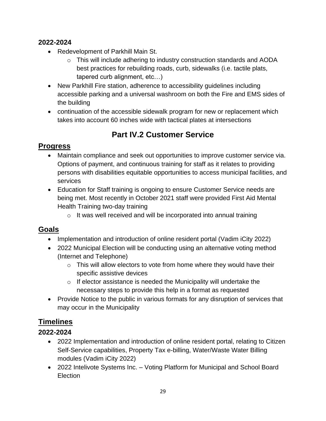#### **2022-2024**

- Redevelopment of Parkhill Main St.
	- $\circ$  This will include adhering to industry construction standards and AODA best practices for rebuilding roads, curb, sidewalks (i.e. tactile plats, tapered curb alignment, etc…)
- New Parkhill Fire station, adherence to accessibility guidelines including accessible parking and a universal washroom on both the Fire and EMS sides of the building
- continuation of the accessible sidewalk program for new or replacement which takes into account 60 inches wide with tactical plates at intersections

# **Part IV.2 Customer Service**

#### **Progress**

- Maintain compliance and seek out opportunities to improve customer service via. Options of payment, and continuous training for staff as it relates to providing persons with disabilities equitable opportunities to access municipal facilities, and services
- Education for Staff training is ongoing to ensure Customer Service needs are being met. Most recently in October 2021 staff were provided First Aid Mental Health Training two-day training
	- $\circ$  It was well received and will be incorporated into annual training

#### **Goals**

- Implementation and introduction of online resident portal (Vadim iCity 2022)
- 2022 Municipal Election will be conducting using an alternative voting method (Internet and Telephone)
	- $\circ$  This will allow electors to vote from home where they would have their specific assistive devices
	- o If elector assistance is needed the Municipality will undertake the necessary steps to provide this help in a format as requested
- Provide Notice to the public in various formats for any disruption of services that may occur in the Municipality

#### **Timelines**

#### **2022-2024**

- 2022 Implementation and introduction of online resident portal, relating to Citizen Self-Service capabilities, Property Tax e-billing, Water/Waste Water Billing modules (Vadim iCity 2022)
- 2022 Intelivote Systems Inc. Voting Platform for Municipal and School Board Election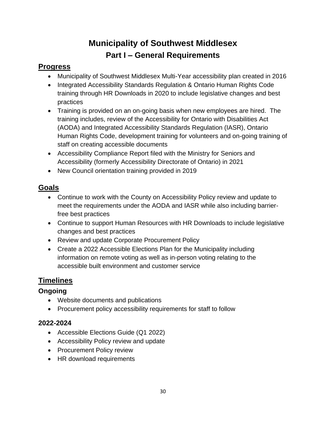# **Municipality of Southwest Middlesex Part I – General Requirements**

#### <span id="page-29-0"></span>**Progress**

- Municipality of Southwest Middlesex Multi-Year accessibility plan created in 2016
- Integrated Accessibility Standards Regulation & Ontario Human Rights Code training through HR Downloads in 2020 to include legislative changes and best practices
- Training is provided on an on-going basis when new employees are hired. The training includes, review of the Accessibility for Ontario with Disabilities Act (AODA) and Integrated Accessibility Standards Regulation (IASR), Ontario Human Rights Code, development training for volunteers and on-going training of staff on creating accessible documents
- Accessibility Compliance Report filed with the Ministry for Seniors and Accessibility (formerly Accessibility Directorate of Ontario) in 2021
- New Council orientation training provided in 2019

#### **Goals**

- Continue to work with the County on Accessibility Policy review and update to meet the requirements under the AODA and IASR while also including barrierfree best practices
- Continue to support Human Resources with HR Downloads to include legislative changes and best practices
- Review and update Corporate Procurement Policy
- Create a 2022 Accessible Elections Plan for the Municipality including information on remote voting as well as in-person voting relating to the accessible built environment and customer service

# **Timelines**

#### **Ongoing**

- Website documents and publications
- Procurement policy accessibility requirements for staff to follow

#### **2022-2024**

- Accessible Elections Guide (Q1 2022)
- Accessibility Policy review and update
- Procurement Policy review
- HR download requirements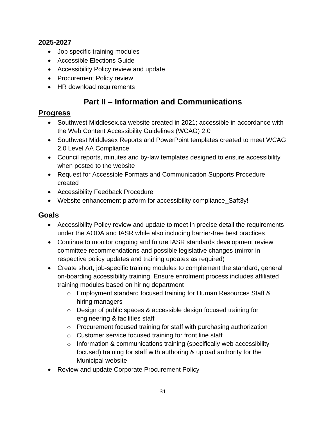#### **2025-2027**

- Job specific training modules
- Accessible Elections Guide
- Accessibility Policy review and update
- Procurement Policy review
- HR download requirements

# **Part II – Information and Communications**

#### **Progress**

- Southwest Middlesex.ca website created in 2021; accessible in accordance with the Web Content Accessibility Guidelines (WCAG) 2.0
- Southwest Middlesex Reports and PowerPoint templates created to meet WCAG 2.0 Level AA Compliance
- Council reports, minutes and by-law templates designed to ensure accessibility when posted to the website
- Request for Accessible Formats and Communication Supports Procedure created
- Accessibility Feedback Procedure
- Website enhancement platform for accessibility compliance\_Saft3y!

#### **Goals**

- Accessibility Policy review and update to meet in precise detail the requirements under the AODA and IASR while also including barrier-free best practices
- Continue to monitor ongoing and future IASR standards development review committee recommendations and possible legislative changes (mirror in respective policy updates and training updates as required)
- Create short, job-specific training modules to complement the standard, general on-boarding accessibility training. Ensure enrolment process includes affiliated training modules based on hiring department
	- o Employment standard focused training for Human Resources Staff & hiring managers
	- o Design of public spaces & accessible design focused training for engineering & facilities staff
	- o Procurement focused training for staff with purchasing authorization
	- o Customer service focused training for front line staff
	- $\circ$  Information & communications training (specifically web accessibility focused) training for staff with authoring & upload authority for the Municipal website
- Review and update Corporate Procurement Policy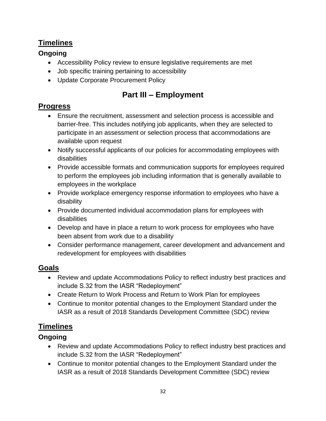#### **Timelines**

#### **Ongoing**

- Accessibility Policy review to ensure legislative requirements are met
- Job specific training pertaining to accessibility
- Update Corporate Procurement Policy

# **Part III – Employment**

#### **Progress**

- Ensure the recruitment, assessment and selection process is accessible and barrier-free. This includes notifying job applicants, when they are selected to participate in an assessment or selection process that accommodations are available upon request
- Notify successful applicants of our policies for accommodating employees with disabilities
- Provide accessible formats and communication supports for employees required to perform the employees job including information that is generally available to employees in the workplace
- Provide workplace emergency response information to employees who have a disability
- Provide documented individual accommodation plans for employees with disabilities
- Develop and have in place a return to work process for employees who have been absent from work due to a disability
- Consider performance management, career development and advancement and redevelopment for employees with disabilities

#### **Goals**

- Review and update Accommodations Policy to reflect industry best practices and include S.32 from the IASR "Redeployment"
- Create Return to Work Process and Return to Work Plan for employees
- Continue to monitor potential changes to the Employment Standard under the IASR as a result of 2018 Standards Development Committee (SDC) review

#### **Timelines**

#### **Ongoing**

- Review and update Accommodations Policy to reflect industry best practices and include S.32 from the IASR "Redeployment"
- Continue to monitor potential changes to the Employment Standard under the IASR as a result of 2018 Standards Development Committee (SDC) review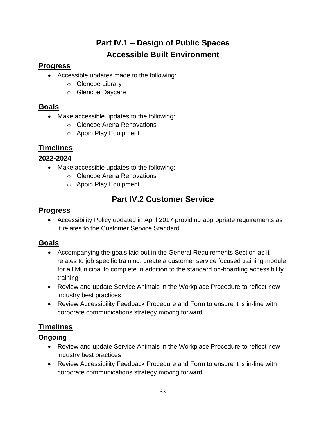# **Part IV.1 – Design of Public Spaces Accessible Built Environment**

#### **Progress**

- Accessible updates made to the following:
	- o Glencoe Library
	- o Glencoe Daycare

#### **Goals**

- Make accessible updates to the following:
	- o Glencoe Arena Renovations
	- o Appin Play Equipment

### **Timelines**

#### **2022-2024**

- Make accessible updates to the following:
	- o Glencoe Arena Renovations
	- o Appin Play Equipment

# **Part IV.2 Customer Service**

#### **Progress**

 Accessibility Policy updated in April 2017 providing appropriate requirements as it relates to the Customer Service Standard

#### **Goals**

- Accompanying the goals laid out in the General Requirements Section as it relates to job specific training, create a customer service focused training module for all Municipal to complete in addition to the standard on-boarding accessibility training
- Review and update Service Animals in the Workplace Procedure to reflect new industry best practices
- Review Accessibility Feedback Procedure and Form to ensure it is in-line with corporate communications strategy moving forward

# **Timelines**

#### **Ongoing**

- Review and update Service Animals in the Workplace Procedure to reflect new industry best practices
- Review Accessibility Feedback Procedure and Form to ensure it is in-line with corporate communications strategy moving forward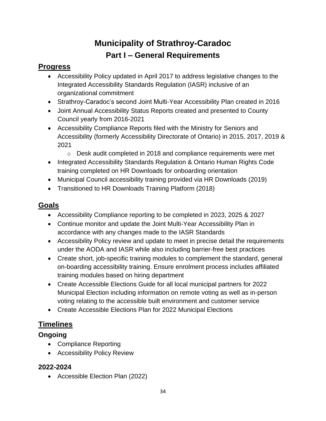# **Municipality of Strathroy-Caradoc Part I – General Requirements**

#### <span id="page-33-0"></span>**Progress**

- Accessibility Policy updated in April 2017 to address legislative changes to the Integrated Accessibility Standards Regulation (IASR) inclusive of an organizational commitment
- Strathroy-Caradoc's second Joint Multi-Year Accessibility Plan created in 2016
- Joint Annual Accessibility Status Reports created and presented to County Council yearly from 2016-2021
- Accessibility Compliance Reports filed with the Ministry for Seniors and Accessibility (formerly Accessibility Directorate of Ontario) in 2015, 2017, 2019 & 2021
	- o Desk audit completed in 2018 and compliance requirements were met
- Integrated Accessibility Standards Regulation & Ontario Human Rights Code training completed on HR Downloads for onboarding orientation
- Municipal Council accessibility training provided via HR Downloads (2019)
- Transitioned to HR Downloads Training Platform (2018)

#### **Goals**

- Accessibility Compliance reporting to be completed in 2023, 2025 & 2027
- Continue monitor and update the Joint Multi-Year Accessibility Plan in accordance with any changes made to the IASR Standards
- Accessibility Policy review and update to meet in precise detail the requirements under the AODA and IASR while also including barrier-free best practices
- Create short, job-specific training modules to complement the standard, general on-boarding accessibility training. Ensure enrolment process includes affiliated training modules based on hiring department
- Create Accessible Elections Guide for all local municipal partners for 2022 Municipal Election including information on remote voting as well as in-person voting relating to the accessible built environment and customer service
- Create Accessible Elections Plan for 2022 Municipal Elections

#### **Timelines**

#### **Ongoing**

- Compliance Reporting
- Accessibility Policy Review

#### **2022-2024**

Accessible Election Plan (2022)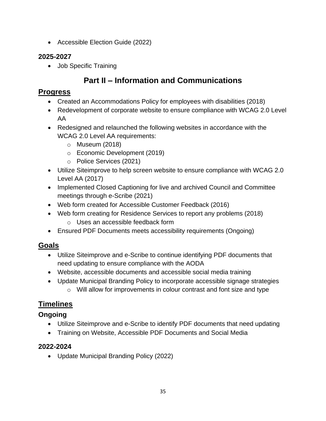• Accessible Election Guide (2022)

#### **2025-2027**

• Job Specific Training

# **Part II – Information and Communications**

#### **Progress**

- Created an Accommodations Policy for employees with disabilities (2018)
- Redevelopment of corporate website to ensure compliance with WCAG 2.0 Level AA
- Redesigned and relaunched the following websites in accordance with the WCAG 2.0 Level AA requirements:
	- o Museum (2018)
	- o Economic Development (2019)
	- o Police Services (2021)
- Utilize Siteimprove to help screen website to ensure compliance with WCAG 2.0 Level AA (2017)
- Implemented Closed Captioning for live and archived Council and Committee meetings through e-Scribe (2021)
- Web form created for Accessible Customer Feedback (2016)
- Web form creating for Residence Services to report any problems (2018)
	- o Uses an accessible feedback form
- Ensured PDF Documents meets accessibility requirements (Ongoing)

#### **Goals**

- Utilize Siteimprove and e-Scribe to continue identifying PDF documents that need updating to ensure compliance with the AODA
- Website, accessible documents and accessible social media training
- Update Municipal Branding Policy to incorporate accessible signage strategies o Will allow for improvements in colour contrast and font size and type

#### **Timelines**

#### **Ongoing**

- Utilize Siteimprove and e-Scribe to identify PDF documents that need updating
- Training on Website, Accessible PDF Documents and Social Media

#### **2022-2024**

Update Municipal Branding Policy (2022)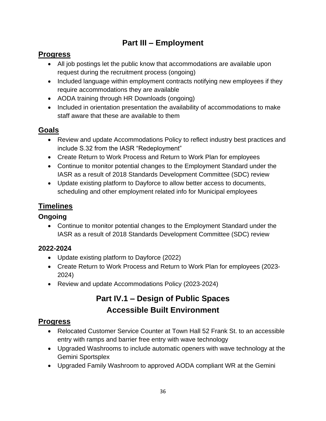# **Part III – Employment**

### **Progress**

- All job postings let the public know that accommodations are available upon request during the recruitment process (ongoing)
- Included language within employment contracts notifying new employees if they require accommodations they are available
- AODA training through HR Downloads (ongoing)
- Included in orientation presentation the availability of accommodations to make staff aware that these are available to them

#### **Goals**

- Review and update Accommodations Policy to reflect industry best practices and include S.32 from the IASR "Redeployment"
- Create Return to Work Process and Return to Work Plan for employees
- Continue to monitor potential changes to the Employment Standard under the IASR as a result of 2018 Standards Development Committee (SDC) review
- Update existing platform to Dayforce to allow better access to documents, scheduling and other employment related info for Municipal employees

### **Timelines**

#### **Ongoing**

 Continue to monitor potential changes to the Employment Standard under the IASR as a result of 2018 Standards Development Committee (SDC) review

#### **2022-2024**

- Update existing platform to Dayforce (2022)
- Create Return to Work Process and Return to Work Plan for employees (2023- 2024)
- Review and update Accommodations Policy (2023-2024)

# **Part IV.1 – Design of Public Spaces Accessible Built Environment**

# **Progress**

- Relocated Customer Service Counter at Town Hall 52 Frank St, to an accessible entry with ramps and barrier free entry with wave technology
- Upgraded Washrooms to include automatic openers with wave technology at the Gemini Sportsplex
- Upgraded Family Washroom to approved AODA compliant WR at the Gemini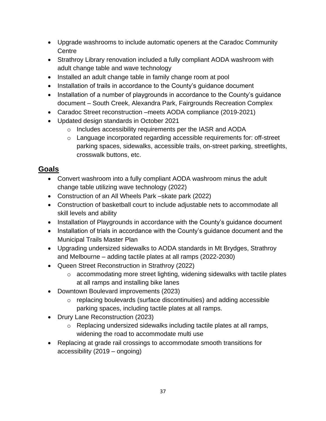- Upgrade washrooms to include automatic openers at the Caradoc Community **Centre**
- Strathroy Library renovation included a fully compliant AODA washroom with adult change table and wave technology
- Installed an adult change table in family change room at pool
- Installation of trails in accordance to the County's guidance document
- Installation of a number of playgrounds in accordance to the County's guidance document – South Creek, Alexandra Park, Fairgrounds Recreation Complex
- Caradoc Street reconstruction –meets AODA compliance (2019-2021)
- Updated design standards in October 2021
	- o Includes accessibility requirements per the IASR and AODA
	- o Language incorporated regarding accessible requirements for: off-street parking spaces, sidewalks, accessible trails, on-street parking, streetlights, crosswalk buttons, etc.

#### **Goals**

- Convert washroom into a fully compliant AODA washroom minus the adult change table utilizing wave technology (2022)
- Construction of an All Wheels Park –skate park (2022)
- Construction of basketball court to include adjustable nets to accommodate all skill levels and ability
- Installation of Playgrounds in accordance with the County's guidance document
- Installation of trials in accordance with the County's guidance document and the Municipal Trails Master Plan
- Upgrading undersized sidewalks to AODA standards in Mt Brydges, Strathroy and Melbourne – adding tactile plates at all ramps (2022-2030)
- Queen Street Reconstruction in Strathroy (2022)
	- o accommodating more street lighting, widening sidewalks with tactile plates at all ramps and installing bike lanes
- Downtown Boulevard improvements (2023)
	- $\circ$  replacing boulevards (surface discontinuities) and adding accessible parking spaces, including tactile plates at all ramps.
- Drury Lane Reconstruction (2023)
	- o Replacing undersized sidewalks including tactile plates at all ramps, widening the road to accommodate multi use
- Replacing at grade rail crossings to accommodate smooth transitions for accessibility (2019 – ongoing)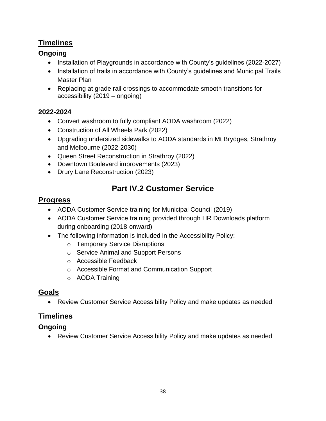#### **Timelines**

#### **Ongoing**

- Installation of Playgrounds in accordance with County's guidelines (2022-2027)
- Installation of trails in accordance with County's quidelines and Municipal Trails Master Plan
- Replacing at grade rail crossings to accommodate smooth transitions for accessibility (2019 – ongoing)

#### **2022-2024**

- Convert washroom to fully compliant AODA washroom (2022)
- Construction of All Wheels Park (2022)
- Upgrading undersized sidewalks to AODA standards in Mt Brydges, Strathroy and Melbourne (2022-2030)
- Queen Street Reconstruction in Strathroy (2022)
- Downtown Boulevard improvements (2023)
- Drury Lane Reconstruction (2023)

#### **Part IV.2 Customer Service**

#### **Progress**

- AODA Customer Service training for Municipal Council (2019)
- AODA Customer Service training provided through HR Downloads platform during onboarding (2018-onward)
- The following information is included in the Accessibility Policy:
	- o Temporary Service Disruptions
	- o Service Animal and Support Persons
	- o Accessible Feedback
	- o Accessible Format and Communication Support
	- o AODA Training

#### **Goals**

Review Customer Service Accessibility Policy and make updates as needed

#### **Timelines**

#### **Ongoing**

Review Customer Service Accessibility Policy and make updates as needed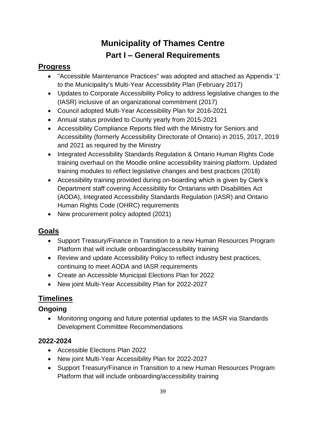# **Municipality of Thames Centre Part I – General Requirements**

#### <span id="page-38-0"></span>**Progress**

- "Accessible Maintenance Practices" was adopted and attached as Appendix '1' to the Municipality's Multi-Year Accessibility Plan (February 2017)
- Updates to Corporate Accessibility Policy to address legislative changes to the (IASR) inclusive of an organizational commitment (2017)
- Council adopted Multi-Year Accessibility Plan for 2016-2021
- Annual status provided to County yearly from 2015-2021
- Accessibility Compliance Reports filed with the Ministry for Seniors and Accessibility (formerly Accessibility Directorate of Ontario) in 2015, 2017, 2019 and 2021 as required by the Ministry
- Integrated Accessibility Standards Regulation & Ontario Human Rights Code training overhaul on the Moodle online accessibility training platform. Updated training modules to reflect legislative changes and best practices (2018)
- Accessibility training provided during on-boarding which is given by Clerk's Department staff covering Accessibility for Ontarians with Disabilities Act (AODA), Integrated Accessibility Standards Regulation (IASR) and Ontario Human Rights Code (OHRC) requirements
- New procurement policy adopted (2021)

#### **Goals**

- Support Treasury/Finance in Transition to a new Human Resources Program Platform that will include onboarding/accessibility training
- Review and update Accessibility Policy to reflect industry best practices, continuing to meet AODA and IASR requirements
- Create an Accessible Municipal Elections Plan for 2022
- New joint Multi-Year Accessibility Plan for 2022-2027

# **Timelines**

#### **Ongoing**

 Monitoring ongoing and future potential updates to the IASR via Standards Development Committee Recommendations

#### **2022-2024**

- Accessible Elections Plan 2022
- New joint Multi-Year Accessibility Plan for 2022-2027
- Support Treasury/Finance in Transition to a new Human Resources Program Platform that will include onboarding/accessibility training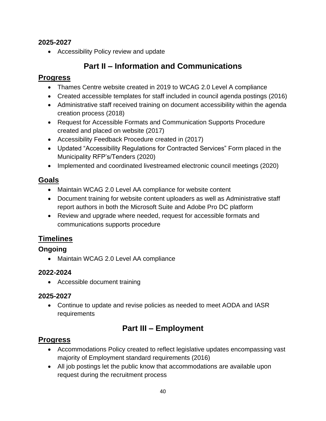#### **2025-2027**

Accessibility Policy review and update

# **Part II – Information and Communications**

#### **Progress**

- Thames Centre website created in 2019 to WCAG 2.0 Level A compliance
- Created accessible templates for staff included in council agenda postings (2016)
- Administrative staff received training on document accessibility within the agenda creation process (2018)
- Request for Accessible Formats and Communication Supports Procedure created and placed on website (2017)
- Accessibility Feedback Procedure created in (2017)
- Updated "Accessibility Regulations for Contracted Services" Form placed in the Municipality RFP's/Tenders (2020)
- Implemented and coordinated livestreamed electronic council meetings (2020)

#### **Goals**

- Maintain WCAG 2.0 Level AA compliance for website content
- Document training for website content uploaders as well as Administrative staff report authors in both the Microsoft Suite and Adobe Pro DC platform
- Review and upgrade where needed, request for accessible formats and communications supports procedure

#### **Timelines**

#### **Ongoing**

Maintain WCAG 2.0 Level AA compliance

#### **2022-2024**

Accessible document training

#### **2025-2027**

 Continue to update and revise policies as needed to meet AODA and IASR requirements

# **Part III – Employment**

#### **Progress**

- Accommodations Policy created to reflect legislative updates encompassing vast majority of Employment standard requirements (2016)
- All job postings let the public know that accommodations are available upon request during the recruitment process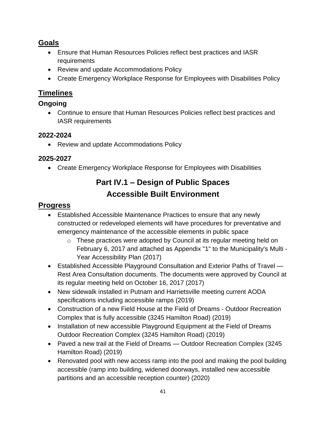#### **Goals**

- Ensure that Human Resources Policies reflect best practices and IASR requirements
- Review and update Accommodations Policy
- Create Emergency Workplace Response for Employees with Disabilities Policy

#### **Timelines**

#### **Ongoing**

 Continue to ensure that Human Resources Policies reflect best practices and IASR requirements

#### **2022-2024**

• Review and update Accommodations Policy

#### **2025-2027**

Create Emergency Workplace Response for Employees with Disabilities

# **Part IV.1 – Design of Public Spaces Accessible Built Environment**

#### **Progress**

- Established Accessible Maintenance Practices to ensure that any newly constructed or redeveloped elements will have procedures for preventative and emergency maintenance of the accessible elements in public space
	- o These practices were adopted by Council at its regular meeting held on February 6, 2017 and attached as Appendix "1" to the Municipality's Multi - Year Accessibility Plan (2017)
- Established Accessible Playground Consultation and Exterior Paths of Travel Rest Area Consultation documents. The documents were approved by Council at its regular meeting held on October 16, 2017 (2017)
- New sidewalk installed in Putnam and Harrietsville meeting current AODA specifications including accessible ramps (2019)
- Construction of a new Field House at the Field of Dreams Outdoor Recreation Complex that is fully accessible (3245 Hamilton Road) (2019)
- Installation of new accessible Playground Equipment at the Field of Dreams Outdoor Recreation Complex (3245 Hamilton Road) (2019)
- Paved a new trail at the Field of Dreams Outdoor Recreation Complex (3245) Hamilton Road) (2019)
- Renovated pool with new access ramp into the pool and making the pool building accessible (ramp into building, widened doorways, installed new accessible partitions and an accessible reception counter) (2020)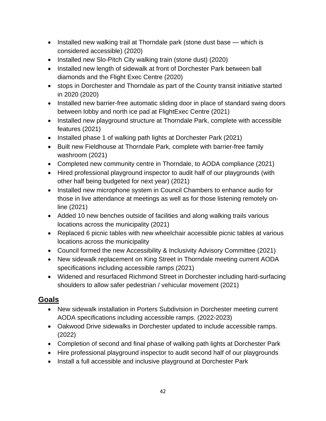- Installed new walking trail at Thorndale park (stone dust base which is considered accessible) (2020)
- Installed new Slo-Pitch City walking train (stone dust) (2020)
- Installed new length of sidewalk at front of Dorchester Park between ball diamonds and the Flight Exec Centre (2020)
- stops in Dorchester and Thorndale as part of the County transit initiative started in 2020 (2020)
- Installed new barrier-free automatic sliding door in place of standard swing doors between lobby and north ice pad at FlightExec Centre (2021)
- Installed new playground structure at Thorndale Park, complete with accessible features (2021)
- Installed phase 1 of walking path lights at Dorchester Park (2021)
- Built new Fieldhouse at Thorndale Park, complete with barrier-free family washroom (2021)
- Completed new community centre in Thorndale, to AODA compliance (2021)
- Hired professional playground inspector to audit half of our playgrounds (with other half being budgeted for next year) (2021)
- Installed new microphone system in Council Chambers to enhance audio for those in live attendance at meetings as well as for those listening remotely online (2021)
- Added 10 new benches outside of facilities and along walking trails various locations across the municipality (2021)
- Replaced 6 picnic tables with new wheelchair accessible picnic tables at various locations across the municipality
- Council formed the new Accessibility & Inclusivity Advisory Committee (2021)
- New sidewalk replacement on King Street in Thorndale meeting current AODA specifications including accessible ramps (2021)
- Widened and resurfaced Richmond Street in Dorchester including hard-surfacing shoulders to allow safer pedestrian / vehicular movement (2021)

#### **Goals**

- New sidewalk installation in Porters Subdivision in Dorchester meeting current AODA specifications including accessible ramps. (2022-2023)
- Oakwood Drive sidewalks in Dorchester updated to include accessible ramps. (2022)
- Completion of second and final phase of walking path lights at Dorchester Park
- Hire professional playground inspector to audit second half of our playgrounds
- Install a full accessible and inclusive playground at Dorchester Park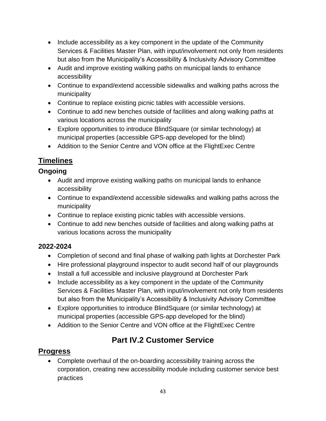- Include accessibility as a key component in the update of the Community Services & Facilities Master Plan, with input/involvement not only from residents but also from the Municipality's Accessibility & Inclusivity Advisory Committee
- Audit and improve existing walking paths on municipal lands to enhance accessibility
- Continue to expand/extend accessible sidewalks and walking paths across the municipality
- Continue to replace existing picnic tables with accessible versions.
- Continue to add new benches outside of facilities and along walking paths at various locations across the municipality
- Explore opportunities to introduce BlindSquare (or similar technology) at municipal properties (accessible GPS-app developed for the blind)
- Addition to the Senior Centre and VON office at the FlightExec Centre

### **Timelines**

#### **Ongoing**

- Audit and improve existing walking paths on municipal lands to enhance accessibility
- Continue to expand/extend accessible sidewalks and walking paths across the municipality
- Continue to replace existing picnic tables with accessible versions.
- Continue to add new benches outside of facilities and along walking paths at various locations across the municipality

#### **2022-2024**

- Completion of second and final phase of walking path lights at Dorchester Park
- Hire professional playground inspector to audit second half of our playgrounds
- Install a full accessible and inclusive playground at Dorchester Park
- Include accessibility as a key component in the update of the Community Services & Facilities Master Plan, with input/involvement not only from residents but also from the Municipality's Accessibility & Inclusivity Advisory Committee
- Explore opportunities to introduce BlindSquare (or similar technology) at municipal properties (accessible GPS-app developed for the blind)
- Addition to the Senior Centre and VON office at the FlightExec Centre

# **Part IV.2 Customer Service**

#### **Progress**

 Complete overhaul of the on-boarding accessibility training across the corporation, creating new accessibility module including customer service best practices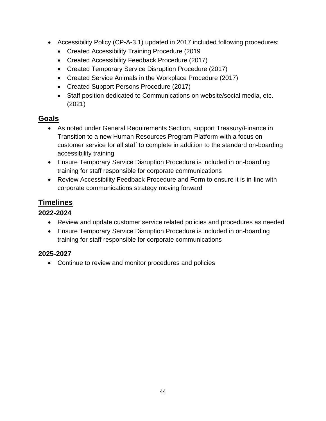- Accessibility Policy (CP-A-3.1) updated in 2017 included following procedures:
	- Created Accessibility Training Procedure (2019
	- Created Accessibility Feedback Procedure (2017)
	- Created Temporary Service Disruption Procedure (2017)
	- Created Service Animals in the Workplace Procedure (2017)
	- Created Support Persons Procedure (2017)
	- Staff position dedicated to Communications on website/social media, etc. (2021)

#### **Goals**

- As noted under General Requirements Section, support Treasury/Finance in Transition to a new Human Resources Program Platform with a focus on customer service for all staff to complete in addition to the standard on-boarding accessibility training
- Ensure Temporary Service Disruption Procedure is included in on-boarding training for staff responsible for corporate communications
- Review Accessibility Feedback Procedure and Form to ensure it is in-line with corporate communications strategy moving forward

#### **Timelines**

#### **2022-2024**

- Review and update customer service related policies and procedures as needed
- Ensure Temporary Service Disruption Procedure is included in on-boarding training for staff responsible for corporate communications

#### **2025-2027**

Continue to review and monitor procedures and policies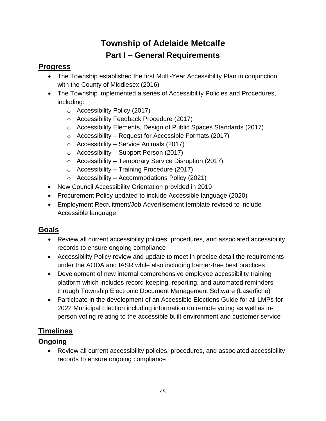# **Township of Adelaide Metcalfe Part I – General Requirements**

#### <span id="page-44-0"></span>**Progress**

- The Township established the first Multi-Year Accessibility Plan in conjunction with the County of Middlesex (2016)
- The Township implemented a series of Accessibility Policies and Procedures, including:
	- o Accessibility Policy (2017)
	- o Accessibility Feedback Procedure (2017)
	- o Accessibility Elements, Design of Public Spaces Standards (2017)
	- $\circ$  Accessibility Request for Accessible Formats (2017)
	- $\circ$  Accessibility Service Animals (2017)
	- $\circ$  Accessibility Support Person (2017)
	- $\circ$  Accessibility Temporary Service Disruption (2017)
	- $\circ$  Accessibility Training Procedure (2017)
	- $\circ$  Accessibility Accommodations Policy (2021)
- New Council Accessibility Orientation provided in 2019
- Procurement Policy updated to include Accessible language (2020)
- Employment Recruitment/Job Advertisement template revised to include Accessible language

#### **Goals**

- Review all current accessibility policies, procedures, and associated accessibility records to ensure ongoing compliance
- Accessibility Policy review and update to meet in precise detail the requirements under the AODA and IASR while also including barrier-free best practices
- Development of new internal comprehensive employee accessibility training platform which includes record-keeping, reporting, and automated reminders through Township Electronic Document Management Software (Laserfiche)
- Participate in the development of an Accessible Elections Guide for all LMPs for 2022 Municipal Election including information on remote voting as well as inperson voting relating to the accessible built environment and customer service

#### **Timelines**

#### **Ongoing**

 Review all current accessibility policies, procedures, and associated accessibility records to ensure ongoing compliance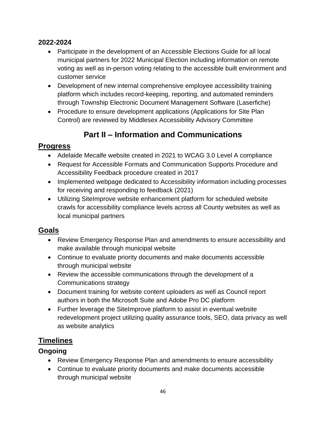#### **2022-2024**

- Participate in the development of an Accessible Elections Guide for all local municipal partners for 2022 Municipal Election including information on remote voting as well as in-person voting relating to the accessible built environment and customer service
- Development of new internal comprehensive employee accessibility training platform which includes record-keeping, reporting, and automated reminders through Township Electronic Document Management Software (Laserfiche)
- Procedure to ensure development applications (Applications for Site Plan Control) are reviewed by Middlesex Accessibility Advisory Committee

# **Part II – Information and Communications**

#### **Progress**

- Adelaide Mecalfe website created in 2021 to WCAG 3.0 Level A compliance
- Request for Accessible Formats and Communication Supports Procedure and Accessibility Feedback procedure created in 2017
- Implemented webpage dedicated to Accessibility information including processes for receiving and responding to feedback (2021)
- Utilizing SiteImprove website enhancement platform for scheduled website crawls for accessibility compliance levels across all County websites as well as local municipal partners

#### **Goals**

- Review Emergency Response Plan and amendments to ensure accessibility and make available through municipal website
- Continue to evaluate priority documents and make documents accessible through municipal website
- Review the accessible communications through the development of a Communications strategy
- Document training for website content uploaders as well as Council report authors in both the Microsoft Suite and Adobe Pro DC platform
- Further leverage the SiteImprove platform to assist in eventual website redevelopment project utilizing quality assurance tools, SEO, data privacy as well as website analytics

# **Timelines**

#### **Ongoing**

- Review Emergency Response Plan and amendments to ensure accessibility
- Continue to evaluate priority documents and make documents accessible through municipal website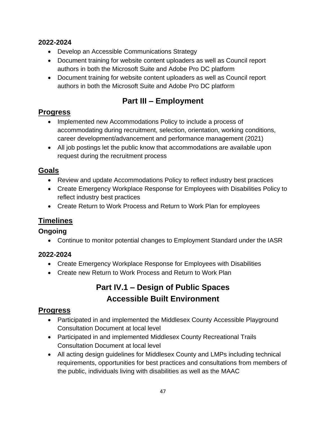#### **2022-2024**

- Develop an Accessible Communications Strategy
- Document training for website content uploaders as well as Council report authors in both the Microsoft Suite and Adobe Pro DC platform
- Document training for website content uploaders as well as Council report authors in both the Microsoft Suite and Adobe Pro DC platform

# **Part III – Employment**

#### **Progress**

- Implemented new Accommodations Policy to include a process of accommodating during recruitment, selection, orientation, working conditions, career development/advancement and performance management (2021)
- All job postings let the public know that accommodations are available upon request during the recruitment process

#### **Goals**

- Review and update Accommodations Policy to reflect industry best practices
- Create Emergency Workplace Response for Employees with Disabilities Policy to reflect industry best practices
- Create Return to Work Process and Return to Work Plan for employees

#### **Timelines**

#### **Ongoing**

Continue to monitor potential changes to Employment Standard under the IASR

#### **2022-2024**

- Create Emergency Workplace Response for Employees with Disabilities
- Create new Return to Work Process and Return to Work Plan

# **Part IV.1 – Design of Public Spaces Accessible Built Environment**

#### **Progress**

- Participated in and implemented the Middlesex County Accessible Playground Consultation Document at local level
- Participated in and implemented Middlesex County Recreational Trails Consultation Document at local level
- All acting design guidelines for Middlesex County and LMPs including technical requirements, opportunities for best practices and consultations from members of the public, individuals living with disabilities as well as the MAAC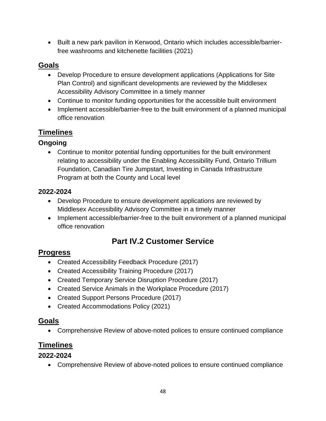Built a new park pavilion in Kerwood, Ontario which includes accessible/barrierfree washrooms and kitchenette facilities (2021)

#### **Goals**

- Develop Procedure to ensure development applications (Applications for Site Plan Control) and significant developments are reviewed by the Middlesex Accessibility Advisory Committee in a timely manner
- Continue to monitor funding opportunities for the accessible built environment
- Implement accessible/barrier-free to the built environment of a planned municipal office renovation

#### **Timelines**

#### **Ongoing**

 Continue to monitor potential funding opportunities for the built environment relating to accessibility under the Enabling Accessibility Fund, Ontario Trillium Foundation, Canadian Tire Jumpstart, Investing in Canada Infrastructure Program at both the County and Local level

#### **2022-2024**

- Develop Procedure to ensure development applications are reviewed by Middlesex Accessibility Advisory Committee in a timely manner
- Implement accessible/barrier-free to the built environment of a planned municipal office renovation

# **Part IV.2 Customer Service**

#### **Progress**

- Created Accessibility Feedback Procedure (2017)
- Created Accessibility Training Procedure (2017)
- Created Temporary Service Disruption Procedure (2017)
- Created Service Animals in the Workplace Procedure (2017)
- Created Support Persons Procedure (2017)
- Created Accommodations Policy (2021)

#### **Goals**

Comprehensive Review of above-noted polices to ensure continued compliance

#### **Timelines**

#### **2022-2024**

Comprehensive Review of above-noted polices to ensure continued compliance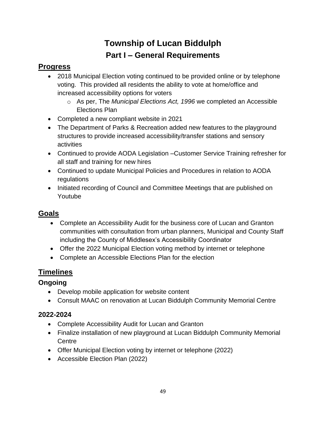# **Township of Lucan Biddulph Part I – General Requirements**

#### <span id="page-48-0"></span>**Progress**

- 2018 Municipal Election voting continued to be provided online or by telephone voting. This provided all residents the ability to vote at home/office and increased accessibility options for voters
	- o As per, The *Municipal Elections Act, 1996* we completed an Accessible Elections Plan
- Completed a new compliant website in 2021
- The Department of Parks & Recreation added new features to the playground structures to provide increased accessibility/transfer stations and sensory activities
- Continued to provide AODA Legislation –Customer Service Training refresher for all staff and training for new hires
- Continued to update Municipal Policies and Procedures in relation to AODA regulations
- Initiated recording of Council and Committee Meetings that are published on Youtube

### **Goals**

- Complete an Accessibility Audit for the business core of Lucan and Granton communities with consultation from urban planners, Municipal and County Staff including the County of Middlesex's Accessibility Coordinator
- Offer the 2022 Municipal Election voting method by internet or telephone
- Complete an Accessible Elections Plan for the election

#### **Timelines**

#### **Ongoing**

- Develop mobile application for website content
- Consult MAAC on renovation at Lucan Biddulph Community Memorial Centre

#### **2022-2024**

- Complete Accessibility Audit for Lucan and Granton
- Finalize installation of new playground at Lucan Biddulph Community Memorial **Centre**
- Offer Municipal Election voting by internet or telephone (2022)
- Accessible Election Plan (2022)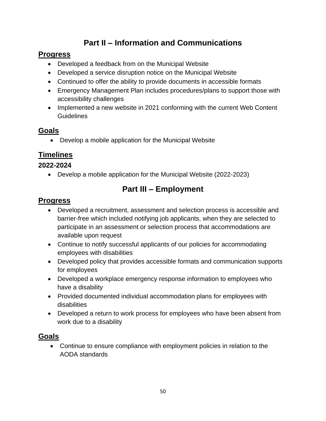# **Part II – Information and Communications**

#### **Progress**

- Developed a feedback from on the Municipal Website
- Developed a service disruption notice on the Municipal Website
- Continued to offer the ability to provide documents in accessible formats
- Emergency Management Plan includes procedures/plans to support those with accessibility challenges
- Implemented a new website in 2021 conforming with the current Web Content **Guidelines**

### **Goals**

Develop a mobile application for the Municipal Website

### **Timelines**

#### **2022-2024**

Develop a mobile application for the Municipal Website (2022-2023)

# **Part III – Employment**

#### **Progress**

- Developed a recruitment, assessment and selection process is accessible and barrier-free which included notifying job applicants, when they are selected to participate in an assessment or selection process that accommodations are available upon request
- Continue to notify successful applicants of our policies for accommodating employees with disabilities
- Developed policy that provides accessible formats and communication supports for employees
- Developed a workplace emergency response information to employees who have a disability
- Provided documented individual accommodation plans for employees with disabilities
- Developed a return to work process for employees who have been absent from work due to a disability

#### **Goals**

 Continue to ensure compliance with employment policies in relation to the AODA standards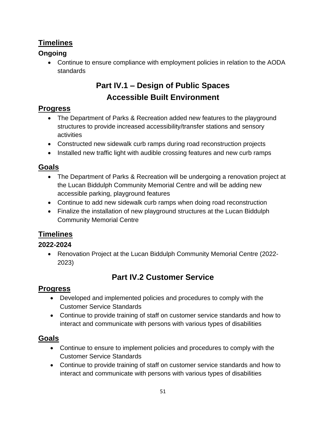#### **Timelines**

#### **Ongoing**

 Continue to ensure compliance with employment policies in relation to the AODA standards

# **Part IV.1 – Design of Public Spaces Accessible Built Environment**

#### **Progress**

- The Department of Parks & Recreation added new features to the playground structures to provide increased accessibility/transfer stations and sensory activities
- Constructed new sidewalk curb ramps during road reconstruction projects
- Installed new traffic light with audible crossing features and new curb ramps

#### **Goals**

- The Department of Parks & Recreation will be undergoing a renovation project at the Lucan Biddulph Community Memorial Centre and will be adding new accessible parking, playground features
- Continue to add new sidewalk curb ramps when doing road reconstruction
- Finalize the installation of new playground structures at the Lucan Biddulph Community Memorial Centre

#### **Timelines**

#### **2022-2024**

 Renovation Project at the Lucan Biddulph Community Memorial Centre (2022- 2023)

# **Part IV.2 Customer Service**

#### **Progress**

- Developed and implemented policies and procedures to comply with the Customer Service Standards
- Continue to provide training of staff on customer service standards and how to interact and communicate with persons with various types of disabilities

#### **Goals**

- Continue to ensure to implement policies and procedures to comply with the Customer Service Standards
- Continue to provide training of staff on customer service standards and how to interact and communicate with persons with various types of disabilities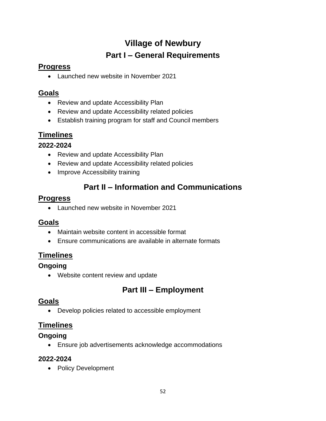# **Village of Newbury Part I – General Requirements**

#### <span id="page-51-0"></span>**Progress**

Launched new website in November 2021

#### **Goals**

- Review and update Accessibility Plan
- Review and update Accessibility related policies
- Establish training program for staff and Council members

#### **Timelines**

#### **2022-2024**

- Review and update Accessibility Plan
- Review and update Accessibility related policies
- Improve Accessibility training

# **Part II – Information and Communications**

#### **Progress**

Launched new website in November 2021

#### **Goals**

- Maintain website content in accessible format
- Ensure communications are available in alternate formats

#### **Timelines**

#### **Ongoing**

Website content review and update

# **Part III – Employment**

#### **Goals**

Develop policies related to accessible employment

#### **Timelines**

#### **Ongoing**

Ensure job advertisements acknowledge accommodations

#### **2022-2024**

• Policy Development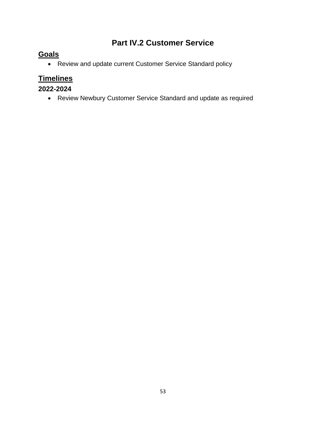# **Part IV.2 Customer Service**

#### **Goals**

Review and update current Customer Service Standard policy

# **Timelines**

#### **2022-2024**

Review Newbury Customer Service Standard and update as required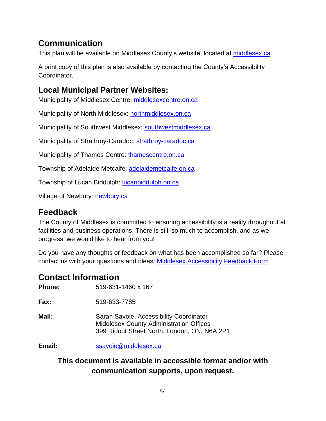# <span id="page-53-0"></span>**Communication**

This plan will be available on Middlesex County's website, located at [middlesex.ca](https://www.middlesex.ca/)

A print copy of this plan is also available by contacting the County's Accessibility Coordinator.

# **Local Municipal Partner Websites:**

Municipality of Middlesex Centre: [middlesexcentre.on.ca](https://www.middlesexcentre.on.ca/)

Municipality of North Middlesex: [northmiddlesex.on.ca](http://www.northmiddlesex.on.ca/)

Municipality of Southwest Middlesex: [southwestmiddlesex.ca](https://www.southwestmiddlesex.ca/)

Municipality of Strathroy-Caradoc: [strathroy-caradoc.ca](https://www.strathroy-caradoc.ca/en/index.aspx)

Municipality of Thames Centre: [thamescentre.on.ca](https://www.thamescentre.on.ca/)

Township of Adelaide Metcalfe: [adelaidemetcalfe.on.ca](https://www.adelaidemetcalfe.on.ca/)

Township of Lucan Biddulph: [lucanbiddulph.on.ca](https://www.lucanbiddulph.on.ca/)

Village of Newbury: [newbury.ca](https://newbury.ca/)

# <span id="page-53-1"></span>**Feedback**

The County of Middlesex is committed to ensuring accessibility is a reality throughout all facilities and business operations. There is still so much to accomplish, and as we progress, we would like to hear from you!

Do you have any thoughts or feedback on what has been accomplished so far? Please contact us with your questions and ideas: [Middlesex Accessibility Feedback Form](https://www.middlesex.ca/contact/accessibility-feedback-form)

# <span id="page-53-2"></span>**Contact Information**

**Phone:** 519-631-1460 x 167

**Fax:** 519-633-7785

**Mail:** Sarah Savoie, Accessibility Coordinator Middlesex County Administration Offices 399 Ridout Street North, London, ON, N6A 2P1

**Email:** [ssavoie@middlesex.ca](mailto:ssavoie@middlesex.ca)

#### **This document is available in accessible format and/or with communication supports, upon request.**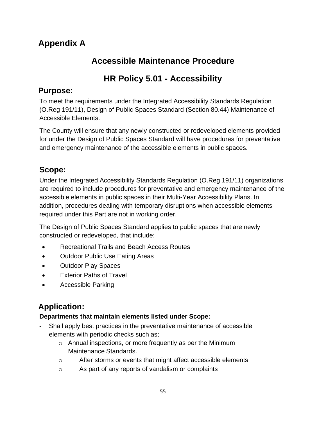# <span id="page-54-0"></span>**Appendix A**

# **Accessible Maintenance Procedure**

# **HR Policy 5.01 - Accessibility**

#### **Purpose:**

To meet the requirements under the Integrated Accessibility Standards Regulation (O.Reg 191/11), Design of Public Spaces Standard (Section 80.44) Maintenance of Accessible Elements.

The County will ensure that any newly constructed or redeveloped elements provided for under the Design of Public Spaces Standard will have procedures for preventative and emergency maintenance of the accessible elements in public spaces.

# **Scope:**

Under the Integrated Accessibility Standards Regulation (O.Reg 191/11) organizations are required to include procedures for preventative and emergency maintenance of the accessible elements in public spaces in their Multi-Year Accessibility Plans. In addition, procedures dealing with temporary disruptions when accessible elements required under this Part are not in working order.

The Design of Public Spaces Standard applies to public spaces that are newly constructed or redeveloped, that include:

- Recreational Trails and Beach Access Routes
- Outdoor Public Use Eating Areas
- Outdoor Play Spaces
- Exterior Paths of Travel
- Accessible Parking

# **Application:**

#### **Departments that maintain elements listed under Scope:**

- Shall apply best practices in the preventative maintenance of accessible elements with periodic checks such as;
	- o Annual inspections, or more frequently as per the Minimum Maintenance Standards.
	- o After storms or events that might affect accessible elements
	- o As part of any reports of vandalism or complaints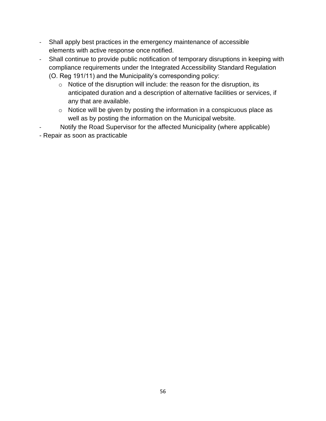- Shall apply best practices in the emergency maintenance of accessible elements with active response once notified.
- Shall continue to provide public notification of temporary disruptions in keeping with compliance requirements under the Integrated Accessibility Standard Regulation (O. Reg 191/11) and the Municipality's corresponding policy:
	- o Notice of the disruption will include: the reason for the disruption, its anticipated duration and a description of alternative facilities or services, if any that are available.
	- o Notice will be given by posting the information in a conspicuous place as well as by posting the information on the Municipal website.
- Notify the Road Supervisor for the affected Municipality (where applicable)
- Repair as soon as practicable